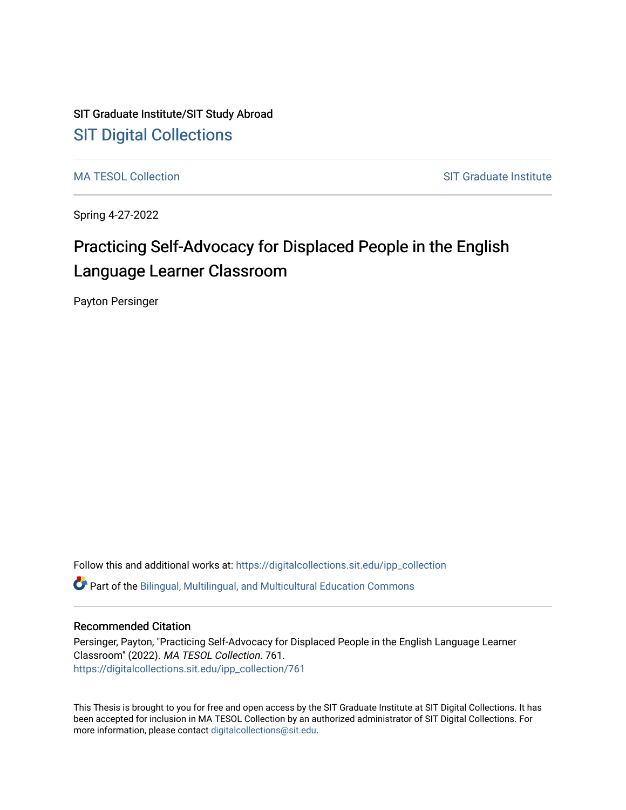# SIT Graduate Institute/SIT Study Abroad [SIT Digital Collections](https://digitalcollections.sit.edu/)

[MA TESOL Collection](https://digitalcollections.sit.edu/ipp_collection) SIT Graduate Institute

Spring 4-27-2022

# Practicing Self-Advocacy for Displaced People in the English Language Learner Classroom

Payton Persinger

Follow this and additional works at: [https://digitalcollections.sit.edu/ipp\\_collection](https://digitalcollections.sit.edu/ipp_collection?utm_source=digitalcollections.sit.edu%2Fipp_collection%2F761&utm_medium=PDF&utm_campaign=PDFCoverPages)   $\bullet$  Part of the Bilingual, Multilingual, and Multicultural Education Commons

# Recommended Citation

Persinger, Payton, "Practicing Self-Advocacy for Displaced People in the English Language Learner Classroom" (2022). MA TESOL Collection. 761. [https://digitalcollections.sit.edu/ipp\\_collection/761](https://digitalcollections.sit.edu/ipp_collection/761?utm_source=digitalcollections.sit.edu%2Fipp_collection%2F761&utm_medium=PDF&utm_campaign=PDFCoverPages) 

This Thesis is brought to you for free and open access by the SIT Graduate Institute at SIT Digital Collections. It has been accepted for inclusion in MA TESOL Collection by an authorized administrator of SIT Digital Collections. For more information, please contact [digitalcollections@sit.edu.](mailto:digitalcollections@sit.edu)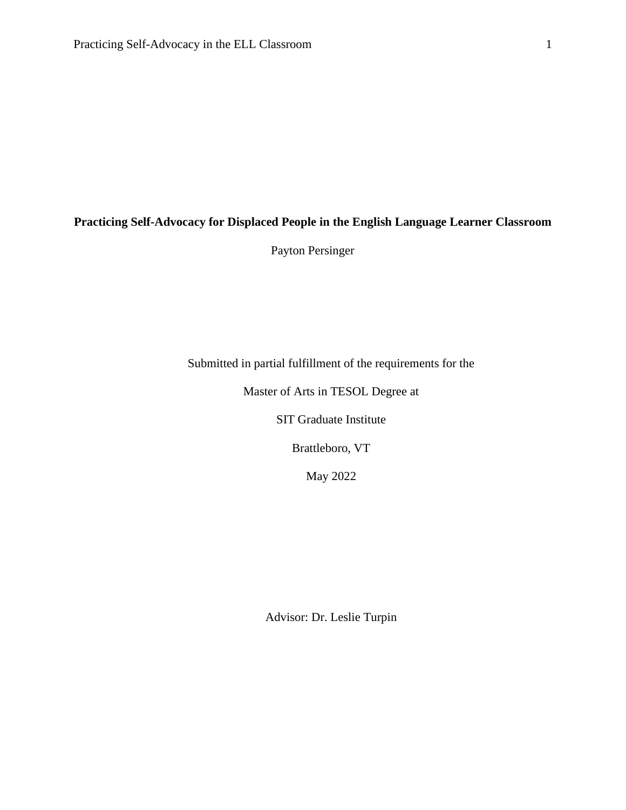# **Practicing Self-Advocacy for Displaced People in the English Language Learner Classroom**

Payton Persinger

Submitted in partial fulfillment of the requirements for the

Master of Arts in TESOL Degree at

SIT Graduate Institute

Brattleboro, VT

May 2022

Advisor: Dr. Leslie Turpin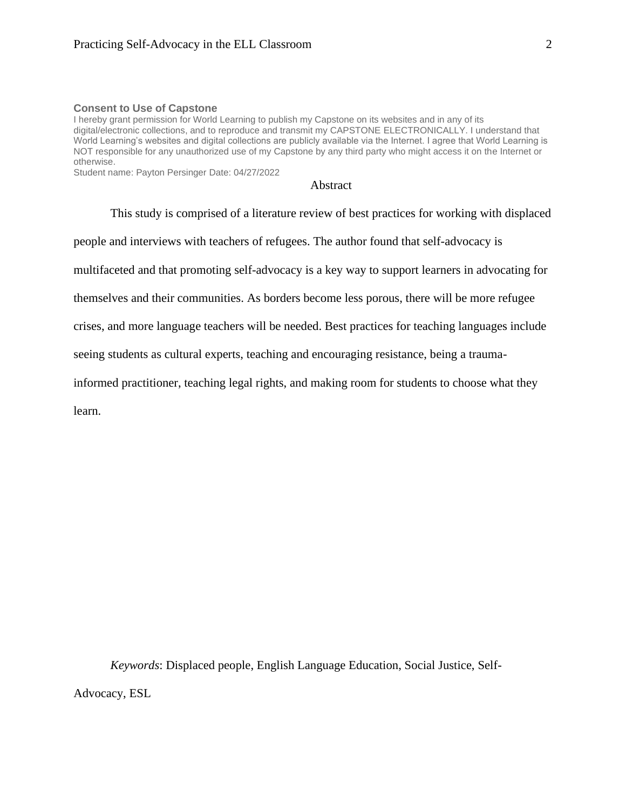#### **Consent to Use of Capstone**

I hereby grant permission for World Learning to publish my Capstone on its websites and in any of its digital/electronic collections, and to reproduce and transmit my CAPSTONE ELECTRONICALLY. I understand that World Learning's websites and digital collections are publicly available via the Internet. I agree that World Learning is NOT responsible for any unauthorized use of my Capstone by any third party who might access it on the Internet or otherwise.

Student name: Payton Persinger Date: 04/27/2022

Abstract

This study is comprised of a literature review of best practices for working with displaced people and interviews with teachers of refugees. The author found that self-advocacy is multifaceted and that promoting self-advocacy is a key way to support learners in advocating for themselves and their communities. As borders become less porous, there will be more refugee crises, and more language teachers will be needed. Best practices for teaching languages include seeing students as cultural experts, teaching and encouraging resistance, being a traumainformed practitioner, teaching legal rights, and making room for students to choose what they learn.

*Keywords*: Displaced people, English Language Education, Social Justice, Self-Advocacy, ESL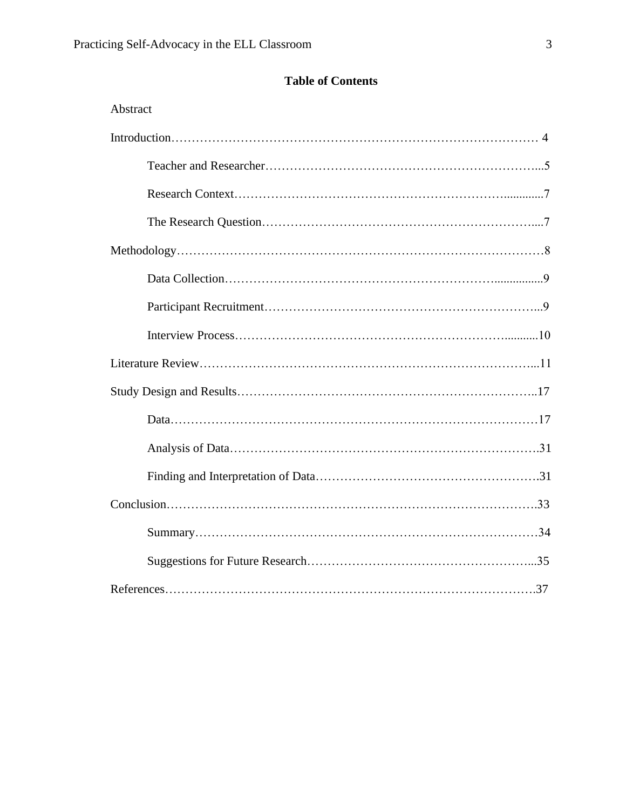# **Table of Contents**

| Abstract |
|----------|
|          |
|          |
|          |
|          |
|          |
|          |
|          |
|          |
|          |
|          |
|          |
|          |
|          |
|          |
|          |
|          |
|          |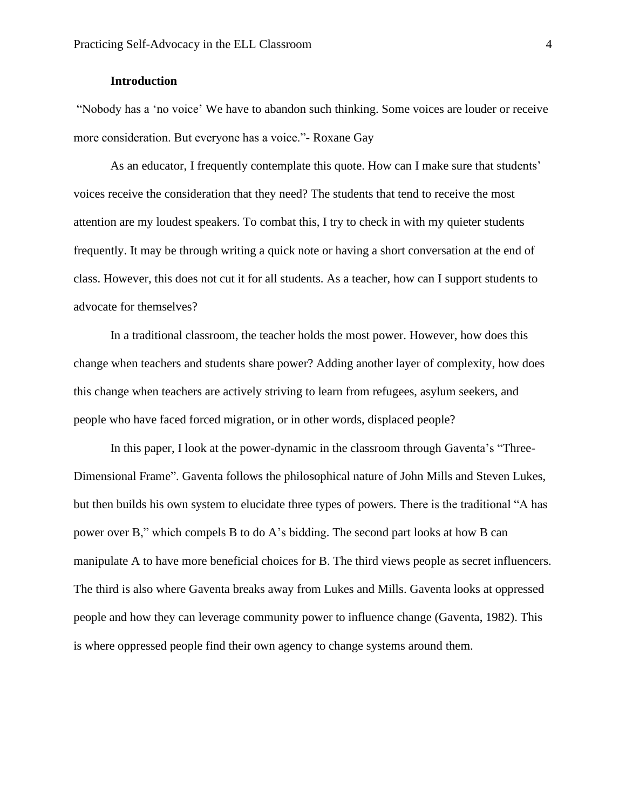# **Introduction**

"Nobody has a 'no voice' We have to abandon such thinking. Some voices are louder or receive more consideration. But everyone has a voice."- Roxane Gay

As an educator, I frequently contemplate this quote. How can I make sure that students' voices receive the consideration that they need? The students that tend to receive the most attention are my loudest speakers. To combat this, I try to check in with my quieter students frequently. It may be through writing a quick note or having a short conversation at the end of class. However, this does not cut it for all students. As a teacher, how can I support students to advocate for themselves?

In a traditional classroom, the teacher holds the most power. However, how does this change when teachers and students share power? Adding another layer of complexity, how does this change when teachers are actively striving to learn from refugees, asylum seekers, and people who have faced forced migration, or in other words, displaced people?

In this paper, I look at the power-dynamic in the classroom through Gaventa's "Three-Dimensional Frame". Gaventa follows the philosophical nature of John Mills and Steven Lukes, but then builds his own system to elucidate three types of powers. There is the traditional "A has power over B," which compels B to do A's bidding. The second part looks at how B can manipulate A to have more beneficial choices for B. The third views people as secret influencers. The third is also where Gaventa breaks away from Lukes and Mills. Gaventa looks at oppressed people and how they can leverage community power to influence change (Gaventa, 1982). This is where oppressed people find their own agency to change systems around them.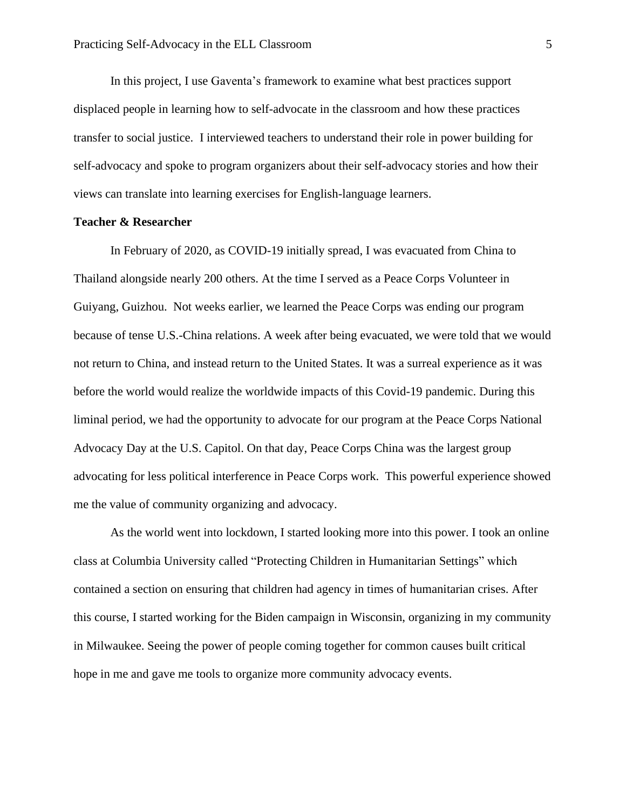In this project, I use Gaventa's framework to examine what best practices support displaced people in learning how to self-advocate in the classroom and how these practices transfer to social justice. I interviewed teachers to understand their role in power building for self-advocacy and spoke to program organizers about their self-advocacy stories and how their views can translate into learning exercises for English-language learners.

#### **Teacher & Researcher**

In February of 2020, as COVID-19 initially spread, I was evacuated from China to Thailand alongside nearly 200 others. At the time I served as a Peace Corps Volunteer in Guiyang, Guizhou. Not weeks earlier, we learned the Peace Corps was ending our program because of tense U.S.-China relations. A week after being evacuated, we were told that we would not return to China, and instead return to the United States. It was a surreal experience as it was before the world would realize the worldwide impacts of this Covid-19 pandemic. During this liminal period, we had the opportunity to advocate for our program at the Peace Corps National Advocacy Day at the U.S. Capitol. On that day, Peace Corps China was the largest group advocating for less political interference in Peace Corps work. This powerful experience showed me the value of community organizing and advocacy.

As the world went into lockdown, I started looking more into this power. I took an online class at Columbia University called "Protecting Children in Humanitarian Settings" which contained a section on ensuring that children had agency in times of humanitarian crises. After this course, I started working for the Biden campaign in Wisconsin, organizing in my community in Milwaukee. Seeing the power of people coming together for common causes built critical hope in me and gave me tools to organize more community advocacy events.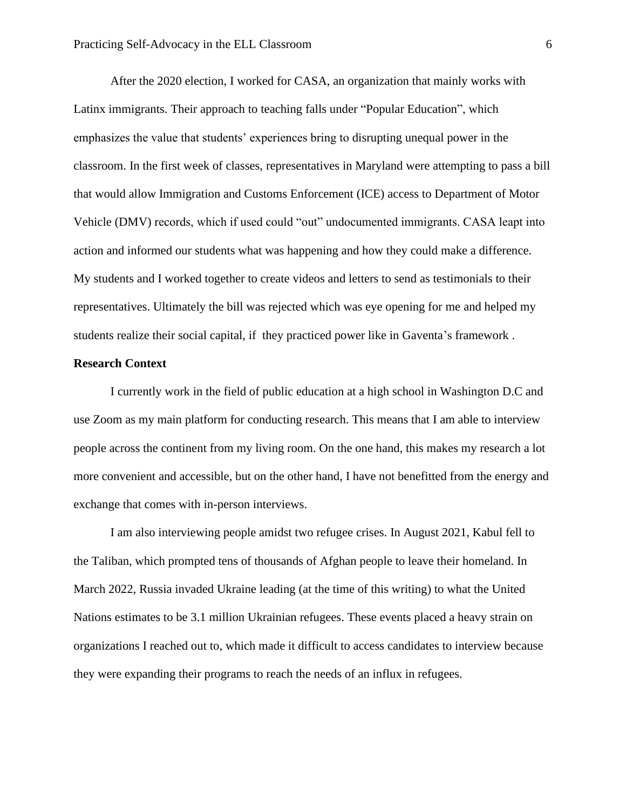After the 2020 election, I worked for CASA, an organization that mainly works with Latinx immigrants. Their approach to teaching falls under "Popular Education", which emphasizes the value that students' experiences bring to disrupting unequal power in the classroom. In the first week of classes, representatives in Maryland were attempting to pass a bill that would allow Immigration and Customs Enforcement (ICE) access to Department of Motor Vehicle (DMV) records, which if used could "out" undocumented immigrants. CASA leapt into action and informed our students what was happening and how they could make a difference. My students and I worked together to create videos and letters to send as testimonials to their representatives. Ultimately the bill was rejected which was eye opening for me and helped my students realize their social capital, if they practiced power like in Gaventa's framework .

#### **Research Context**

I currently work in the field of public education at a high school in Washington D.C and use Zoom as my main platform for conducting research. This means that I am able to interview people across the continent from my living room. On the one hand, this makes my research a lot more convenient and accessible, but on the other hand, I have not benefitted from the energy and exchange that comes with in-person interviews.

I am also interviewing people amidst two refugee crises. In August 2021, Kabul fell to the Taliban, which prompted tens of thousands of Afghan people to leave their homeland. In March 2022, Russia invaded Ukraine leading (at the time of this writing) to what the United Nations estimates to be 3.1 million Ukrainian refugees. These events placed a heavy strain on organizations I reached out to, which made it difficult to access candidates to interview because they were expanding their programs to reach the needs of an influx in refugees.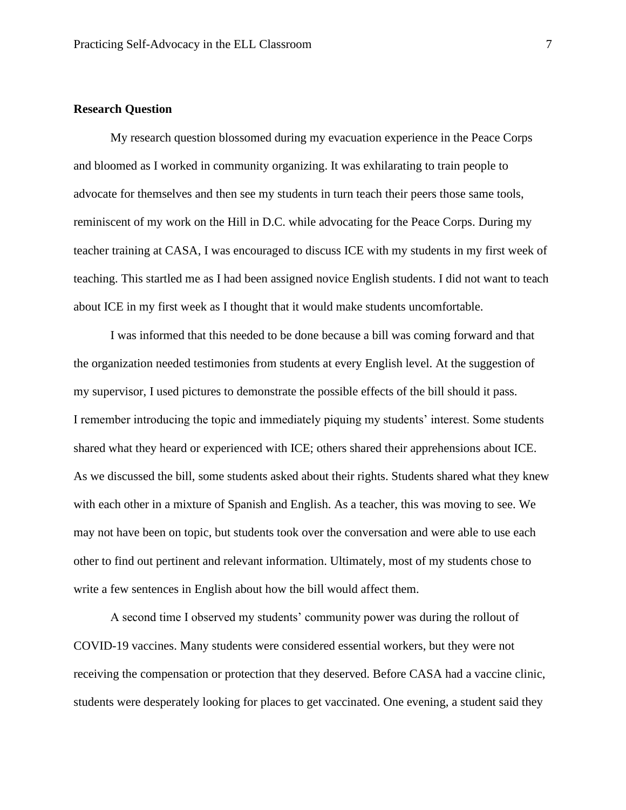# **Research Question**

My research question blossomed during my evacuation experience in the Peace Corps and bloomed as I worked in community organizing. It was exhilarating to train people to advocate for themselves and then see my students in turn teach their peers those same tools, reminiscent of my work on the Hill in D.C. while advocating for the Peace Corps. During my teacher training at CASA, I was encouraged to discuss ICE with my students in my first week of teaching. This startled me as I had been assigned novice English students. I did not want to teach about ICE in my first week as I thought that it would make students uncomfortable.

I was informed that this needed to be done because a bill was coming forward and that the organization needed testimonies from students at every English level. At the suggestion of my supervisor, I used pictures to demonstrate the possible effects of the bill should it pass. I remember introducing the topic and immediately piquing my students' interest. Some students shared what they heard or experienced with ICE; others shared their apprehensions about ICE. As we discussed the bill, some students asked about their rights. Students shared what they knew with each other in a mixture of Spanish and English. As a teacher, this was moving to see. We may not have been on topic, but students took over the conversation and were able to use each other to find out pertinent and relevant information. Ultimately, most of my students chose to write a few sentences in English about how the bill would affect them.

A second time I observed my students' community power was during the rollout of COVID-19 vaccines. Many students were considered essential workers, but they were not receiving the compensation or protection that they deserved. Before CASA had a vaccine clinic, students were desperately looking for places to get vaccinated. One evening, a student said they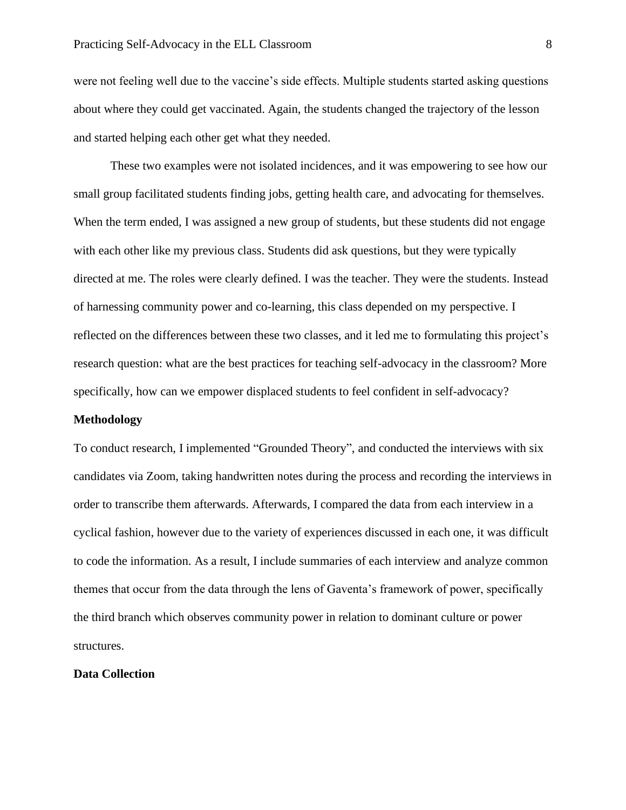were not feeling well due to the vaccine's side effects. Multiple students started asking questions about where they could get vaccinated. Again, the students changed the trajectory of the lesson and started helping each other get what they needed.

These two examples were not isolated incidences, and it was empowering to see how our small group facilitated students finding jobs, getting health care, and advocating for themselves. When the term ended, I was assigned a new group of students, but these students did not engage with each other like my previous class. Students did ask questions, but they were typically directed at me. The roles were clearly defined. I was the teacher. They were the students. Instead of harnessing community power and co-learning, this class depended on my perspective. I reflected on the differences between these two classes, and it led me to formulating this project's research question: what are the best practices for teaching self-advocacy in the classroom? More specifically, how can we empower displaced students to feel confident in self-advocacy?

#### **Methodology**

To conduct research, I implemented "Grounded Theory", and conducted the interviews with six candidates via Zoom, taking handwritten notes during the process and recording the interviews in order to transcribe them afterwards. Afterwards, I compared the data from each interview in a cyclical fashion, however due to the variety of experiences discussed in each one, it was difficult to code the information. As a result, I include summaries of each interview and analyze common themes that occur from the data through the lens of Gaventa's framework of power, specifically the third branch which observes community power in relation to dominant culture or power structures.

## **Data Collection**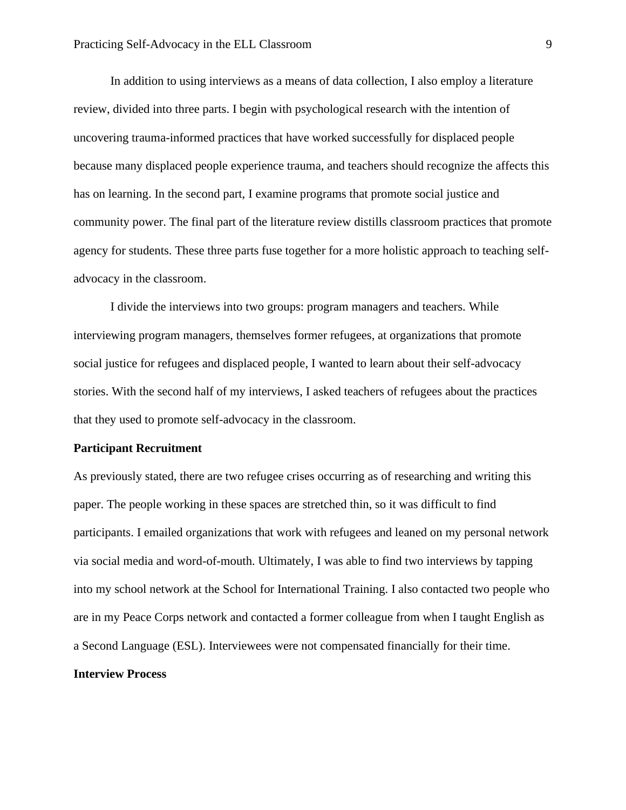In addition to using interviews as a means of data collection, I also employ a literature review, divided into three parts. I begin with psychological research with the intention of uncovering trauma-informed practices that have worked successfully for displaced people because many displaced people experience trauma, and teachers should recognize the affects this has on learning. In the second part, I examine programs that promote social justice and community power. The final part of the literature review distills classroom practices that promote agency for students. These three parts fuse together for a more holistic approach to teaching selfadvocacy in the classroom.

I divide the interviews into two groups: program managers and teachers. While interviewing program managers, themselves former refugees, at organizations that promote social justice for refugees and displaced people, I wanted to learn about their self-advocacy stories. With the second half of my interviews, I asked teachers of refugees about the practices that they used to promote self-advocacy in the classroom.

#### **Participant Recruitment**

As previously stated, there are two refugee crises occurring as of researching and writing this paper. The people working in these spaces are stretched thin, so it was difficult to find participants. I emailed organizations that work with refugees and leaned on my personal network via social media and word-of-mouth. Ultimately, I was able to find two interviews by tapping into my school network at the School for International Training. I also contacted two people who are in my Peace Corps network and contacted a former colleague from when I taught English as a Second Language (ESL). Interviewees were not compensated financially for their time. **Interview Process**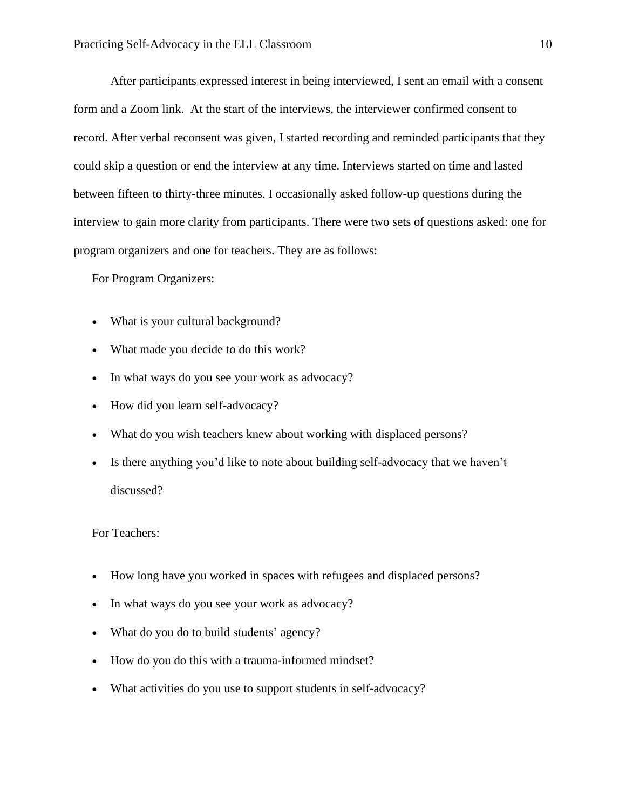After participants expressed interest in being interviewed, I sent an email with a consent form and a Zoom link. At the start of the interviews, the interviewer confirmed consent to record. After verbal reconsent was given, I started recording and reminded participants that they could skip a question or end the interview at any time. Interviews started on time and lasted between fifteen to thirty-three minutes. I occasionally asked follow-up questions during the interview to gain more clarity from participants. There were two sets of questions asked: one for program organizers and one for teachers. They are as follows:

For Program Organizers:

- What is your cultural background?
- What made you decide to do this work?
- In what ways do you see your work as advocacy?
- How did you learn self-advocacy?
- What do you wish teachers knew about working with displaced persons?
- Is there anything you'd like to note about building self-advocacy that we haven't discussed?

For Teachers:

- How long have you worked in spaces with refugees and displaced persons?
- In what ways do you see your work as advocacy?
- What do you do to build students' agency?
- How do you do this with a trauma-informed mindset?
- What activities do you use to support students in self-advocacy?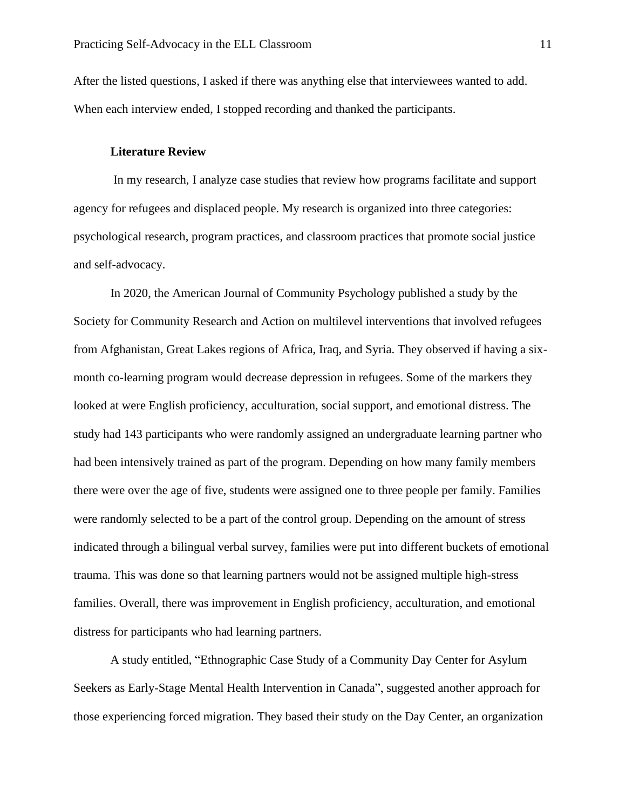After the listed questions, I asked if there was anything else that interviewees wanted to add. When each interview ended, I stopped recording and thanked the participants.

# **Literature Review**

In my research, I analyze case studies that review how programs facilitate and support agency for refugees and displaced people. My research is organized into three categories: psychological research, program practices, and classroom practices that promote social justice and self-advocacy.

In 2020, the American Journal of Community Psychology published a study by the Society for Community Research and Action on multilevel interventions that involved refugees from Afghanistan, Great Lakes regions of Africa, Iraq, and Syria. They observed if having a sixmonth co-learning program would decrease depression in refugees. Some of the markers they looked at were English proficiency, acculturation, social support, and emotional distress. The study had 143 participants who were randomly assigned an undergraduate learning partner who had been intensively trained as part of the program. Depending on how many family members there were over the age of five, students were assigned one to three people per family. Families were randomly selected to be a part of the control group. Depending on the amount of stress indicated through a bilingual verbal survey, families were put into different buckets of emotional trauma. This was done so that learning partners would not be assigned multiple high-stress families. Overall, there was improvement in English proficiency, acculturation, and emotional distress for participants who had learning partners.

A study entitled, "Ethnographic Case Study of a Community Day Center for Asylum Seekers as Early-Stage Mental Health Intervention in Canada", suggested another approach for those experiencing forced migration. They based their study on the Day Center, an organization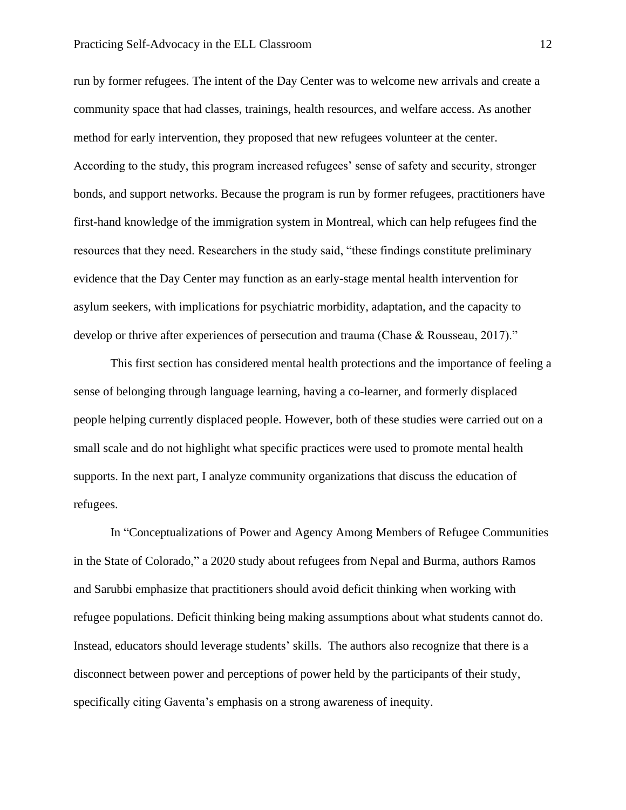#### Practicing Self-Advocacy in the ELL Classroom 12

run by former refugees. The intent of the Day Center was to welcome new arrivals and create a community space that had classes, trainings, health resources, and welfare access. As another method for early intervention, they proposed that new refugees volunteer at the center. According to the study, this program increased refugees' sense of safety and security, stronger bonds, and support networks. Because the program is run by former refugees, practitioners have first-hand knowledge of the immigration system in Montreal, which can help refugees find the resources that they need. Researchers in the study said, "these findings constitute preliminary evidence that the Day Center may function as an early-stage mental health intervention for asylum seekers, with implications for psychiatric morbidity, adaptation, and the capacity to develop or thrive after experiences of persecution and trauma (Chase & Rousseau, 2017)."

This first section has considered mental health protections and the importance of feeling a sense of belonging through language learning, having a co-learner, and formerly displaced people helping currently displaced people. However, both of these studies were carried out on a small scale and do not highlight what specific practices were used to promote mental health supports. In the next part, I analyze community organizations that discuss the education of refugees.

In "Conceptualizations of Power and Agency Among Members of Refugee Communities in the State of Colorado," a 2020 study about refugees from Nepal and Burma, authors Ramos and Sarubbi emphasize that practitioners should avoid deficit thinking when working with refugee populations. Deficit thinking being making assumptions about what students cannot do. Instead, educators should leverage students' skills. The authors also recognize that there is a disconnect between power and perceptions of power held by the participants of their study, specifically citing Gaventa's emphasis on a strong awareness of inequity.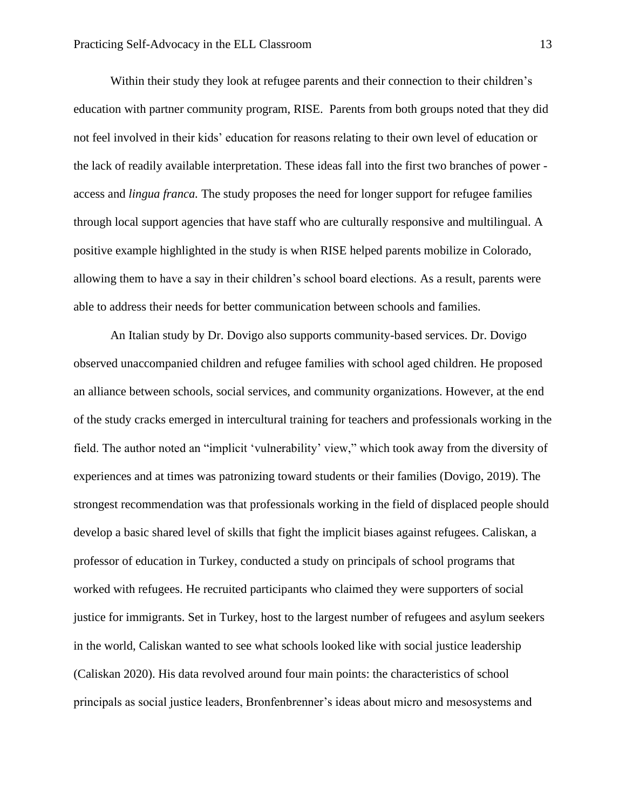Within their study they look at refugee parents and their connection to their children's education with partner community program, RISE. Parents from both groups noted that they did not feel involved in their kids' education for reasons relating to their own level of education or the lack of readily available interpretation. These ideas fall into the first two branches of power access and *lingua franca.* The study proposes the need for longer support for refugee families through local support agencies that have staff who are culturally responsive and multilingual. A positive example highlighted in the study is when RISE helped parents mobilize in Colorado, allowing them to have a say in their children's school board elections. As a result, parents were able to address their needs for better communication between schools and families.

An Italian study by Dr. Dovigo also supports community-based services. Dr. Dovigo observed unaccompanied children and refugee families with school aged children. He proposed an alliance between schools, social services, and community organizations. However, at the end of the study cracks emerged in intercultural training for teachers and professionals working in the field. The author noted an "implicit 'vulnerability' view," which took away from the diversity of experiences and at times was patronizing toward students or their families (Dovigo, 2019). The strongest recommendation was that professionals working in the field of displaced people should develop a basic shared level of skills that fight the implicit biases against refugees. Caliskan, a professor of education in Turkey, conducted a study on principals of school programs that worked with refugees. He recruited participants who claimed they were supporters of social justice for immigrants. Set in Turkey, host to the largest number of refugees and asylum seekers in the world, Caliskan wanted to see what schools looked like with social justice leadership (Caliskan 2020). His data revolved around four main points: the characteristics of school principals as social justice leaders, Bronfenbrenner's ideas about micro and mesosystems and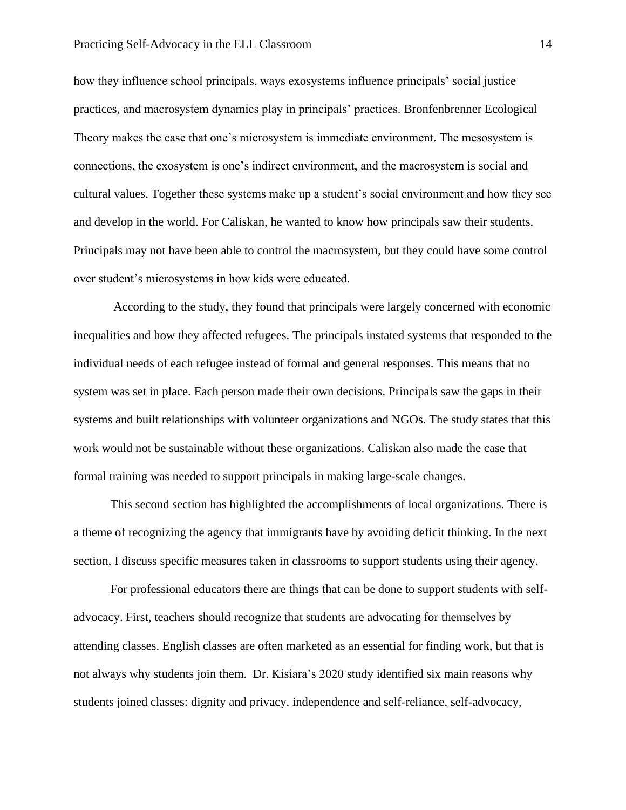#### Practicing Self-Advocacy in the ELL Classroom 14

how they influence school principals, ways exosystems influence principals' social justice practices, and macrosystem dynamics play in principals' practices. Bronfenbrenner Ecological Theory makes the case that one's microsystem is immediate environment. The mesosystem is connections, the exosystem is one's indirect environment, and the macrosystem is social and cultural values. Together these systems make up a student's social environment and how they see and develop in the world. For Caliskan, he wanted to know how principals saw their students. Principals may not have been able to control the macrosystem, but they could have some control over student's microsystems in how kids were educated.

According to the study, they found that principals were largely concerned with economic inequalities and how they affected refugees. The principals instated systems that responded to the individual needs of each refugee instead of formal and general responses. This means that no system was set in place. Each person made their own decisions. Principals saw the gaps in their systems and built relationships with volunteer organizations and NGOs. The study states that this work would not be sustainable without these organizations. Caliskan also made the case that formal training was needed to support principals in making large-scale changes.

This second section has highlighted the accomplishments of local organizations. There is a theme of recognizing the agency that immigrants have by avoiding deficit thinking. In the next section, I discuss specific measures taken in classrooms to support students using their agency.

For professional educators there are things that can be done to support students with selfadvocacy. First, teachers should recognize that students are advocating for themselves by attending classes. English classes are often marketed as an essential for finding work, but that is not always why students join them. Dr. Kisiara's 2020 study identified six main reasons why students joined classes: dignity and privacy, independence and self-reliance, self-advocacy,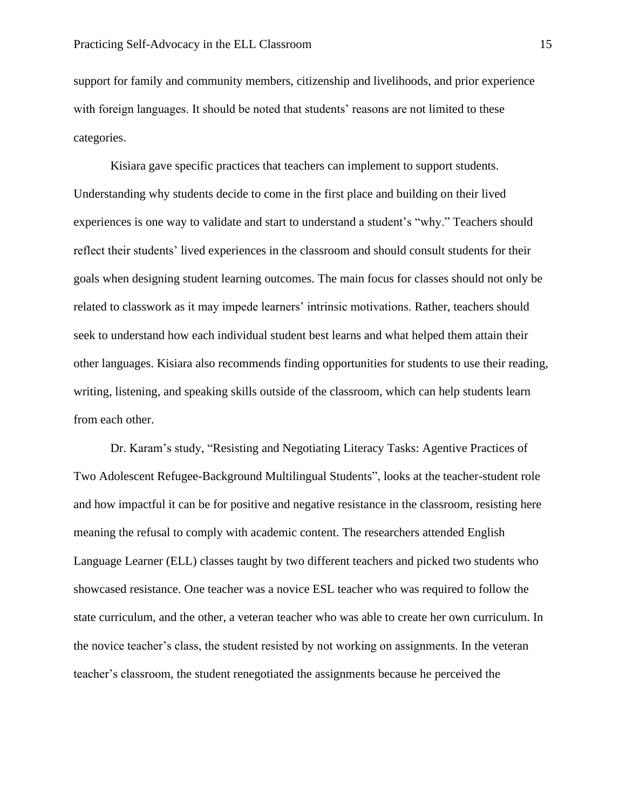support for family and community members, citizenship and livelihoods, and prior experience with foreign languages. It should be noted that students' reasons are not limited to these categories.

Kisiara gave specific practices that teachers can implement to support students. Understanding why students decide to come in the first place and building on their lived experiences is one way to validate and start to understand a student's "why." Teachers should reflect their students' lived experiences in the classroom and should consult students for their goals when designing student learning outcomes. The main focus for classes should not only be related to classwork as it may impede learners' intrinsic motivations. Rather, teachers should seek to understand how each individual student best learns and what helped them attain their other languages. Kisiara also recommends finding opportunities for students to use their reading, writing, listening, and speaking skills outside of the classroom, which can help students learn from each other.

Dr. Karam's study, "Resisting and Negotiating Literacy Tasks: Agentive Practices of Two Adolescent Refugee-Background Multilingual Students", looks at the teacher-student role and how impactful it can be for positive and negative resistance in the classroom, resisting here meaning the refusal to comply with academic content. The researchers attended English Language Learner (ELL) classes taught by two different teachers and picked two students who showcased resistance. One teacher was a novice ESL teacher who was required to follow the state curriculum, and the other, a veteran teacher who was able to create her own curriculum. In the novice teacher's class, the student resisted by not working on assignments. In the veteran teacher's classroom, the student renegotiated the assignments because he perceived the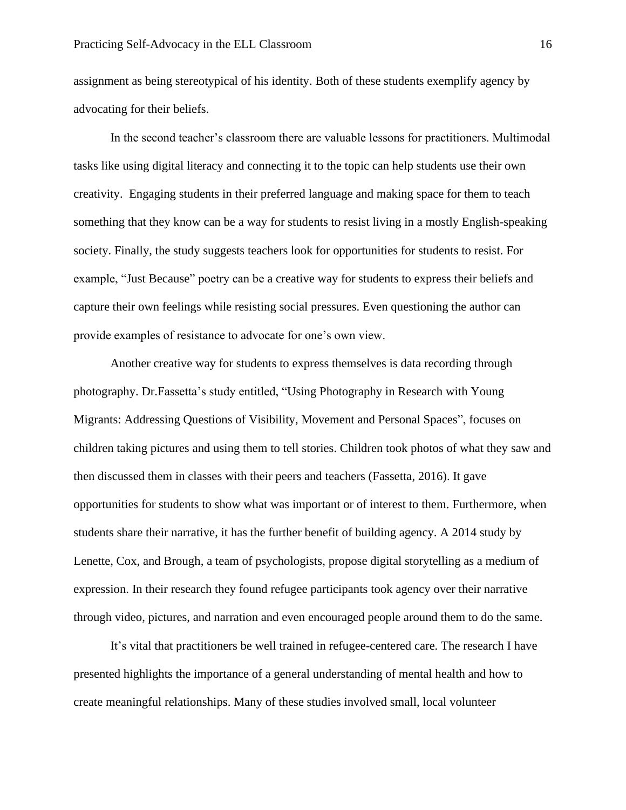assignment as being stereotypical of his identity. Both of these students exemplify agency by advocating for their beliefs.

In the second teacher's classroom there are valuable lessons for practitioners. Multimodal tasks like using digital literacy and connecting it to the topic can help students use their own creativity. Engaging students in their preferred language and making space for them to teach something that they know can be a way for students to resist living in a mostly English-speaking society. Finally, the study suggests teachers look for opportunities for students to resist. For example, "Just Because" poetry can be a creative way for students to express their beliefs and capture their own feelings while resisting social pressures. Even questioning the author can provide examples of resistance to advocate for one's own view.

Another creative way for students to express themselves is data recording through photography. Dr.Fassetta's study entitled, "Using Photography in Research with Young Migrants: Addressing Questions of Visibility, Movement and Personal Spaces", focuses on children taking pictures and using them to tell stories. Children took photos of what they saw and then discussed them in classes with their peers and teachers (Fassetta, 2016). It gave opportunities for students to show what was important or of interest to them. Furthermore, when students share their narrative, it has the further benefit of building agency. A 2014 study by Lenette, Cox, and Brough, a team of psychologists, propose digital storytelling as a medium of expression. In their research they found refugee participants took agency over their narrative through video, pictures, and narration and even encouraged people around them to do the same.

It's vital that practitioners be well trained in refugee-centered care. The research I have presented highlights the importance of a general understanding of mental health and how to create meaningful relationships. Many of these studies involved small, local volunteer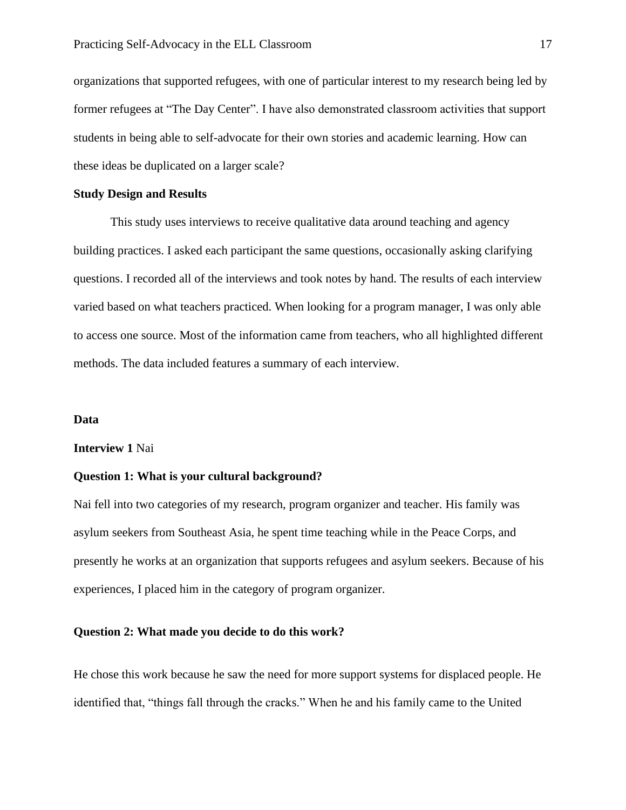organizations that supported refugees, with one of particular interest to my research being led by former refugees at "The Day Center". I have also demonstrated classroom activities that support students in being able to self-advocate for their own stories and academic learning. How can these ideas be duplicated on a larger scale?

## **Study Design and Results**

This study uses interviews to receive qualitative data around teaching and agency building practices. I asked each participant the same questions, occasionally asking clarifying questions. I recorded all of the interviews and took notes by hand. The results of each interview varied based on what teachers practiced. When looking for a program manager, I was only able to access one source. Most of the information came from teachers, who all highlighted different methods. The data included features a summary of each interview.

#### **Data**

#### **Interview 1** Nai

#### **Question 1: What is your cultural background?**

Nai fell into two categories of my research, program organizer and teacher. His family was asylum seekers from Southeast Asia, he spent time teaching while in the Peace Corps, and presently he works at an organization that supports refugees and asylum seekers. Because of his experiences, I placed him in the category of program organizer.

# **Question 2: What made you decide to do this work?**

He chose this work because he saw the need for more support systems for displaced people. He identified that, "things fall through the cracks." When he and his family came to the United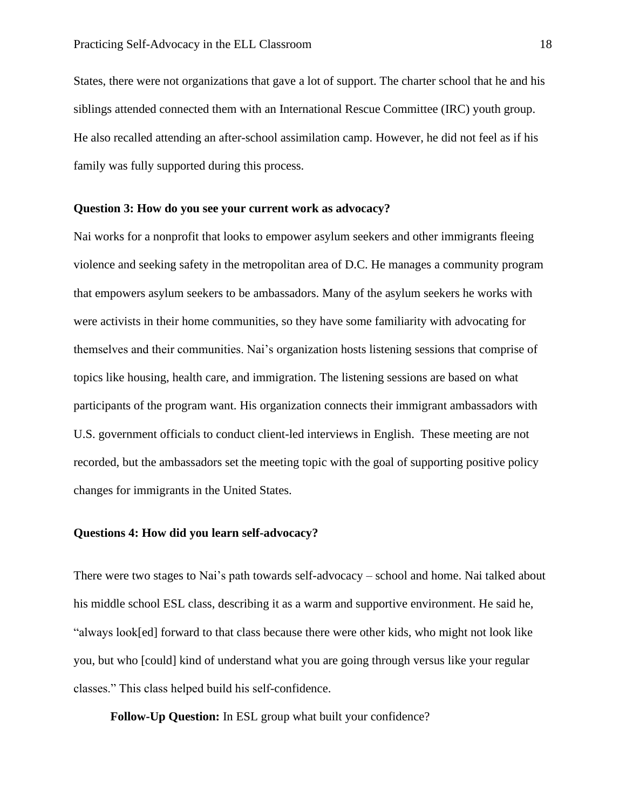States, there were not organizations that gave a lot of support. The charter school that he and his siblings attended connected them with an International Rescue Committee (IRC) youth group. He also recalled attending an after-school assimilation camp. However, he did not feel as if his family was fully supported during this process.

#### **Question 3: How do you see your current work as advocacy?**

Nai works for a nonprofit that looks to empower asylum seekers and other immigrants fleeing violence and seeking safety in the metropolitan area of D.C. He manages a community program that empowers asylum seekers to be ambassadors. Many of the asylum seekers he works with were activists in their home communities, so they have some familiarity with advocating for themselves and their communities. Nai's organization hosts listening sessions that comprise of topics like housing, health care, and immigration. The listening sessions are based on what participants of the program want. His organization connects their immigrant ambassadors with U.S. government officials to conduct client-led interviews in English. These meeting are not recorded, but the ambassadors set the meeting topic with the goal of supporting positive policy changes for immigrants in the United States.

#### **Questions 4: How did you learn self-advocacy?**

There were two stages to Nai's path towards self-advocacy – school and home. Nai talked about his middle school ESL class, describing it as a warm and supportive environment. He said he, "always look[ed] forward to that class because there were other kids, who might not look like you, but who [could] kind of understand what you are going through versus like your regular classes." This class helped build his self-confidence.

**Follow-Up Question:** In ESL group what built your confidence?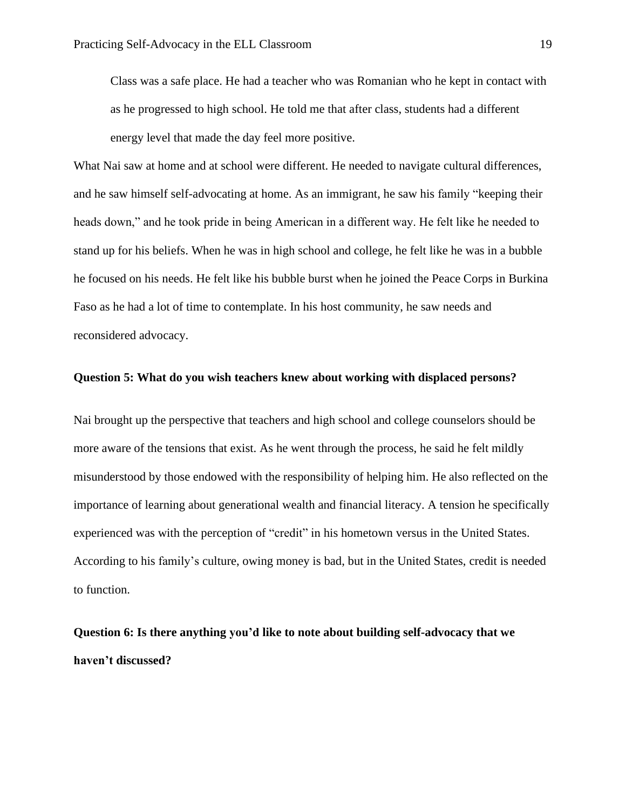Class was a safe place. He had a teacher who was Romanian who he kept in contact with as he progressed to high school. He told me that after class, students had a different energy level that made the day feel more positive.

What Nai saw at home and at school were different. He needed to navigate cultural differences, and he saw himself self-advocating at home. As an immigrant, he saw his family "keeping their heads down," and he took pride in being American in a different way. He felt like he needed to stand up for his beliefs. When he was in high school and college, he felt like he was in a bubble he focused on his needs. He felt like his bubble burst when he joined the Peace Corps in Burkina Faso as he had a lot of time to contemplate. In his host community, he saw needs and reconsidered advocacy.

#### **Question 5: What do you wish teachers knew about working with displaced persons?**

Nai brought up the perspective that teachers and high school and college counselors should be more aware of the tensions that exist. As he went through the process, he said he felt mildly misunderstood by those endowed with the responsibility of helping him. He also reflected on the importance of learning about generational wealth and financial literacy. A tension he specifically experienced was with the perception of "credit" in his hometown versus in the United States. According to his family's culture, owing money is bad, but in the United States, credit is needed to function.

**Question 6: Is there anything you'd like to note about building self-advocacy that we haven't discussed?**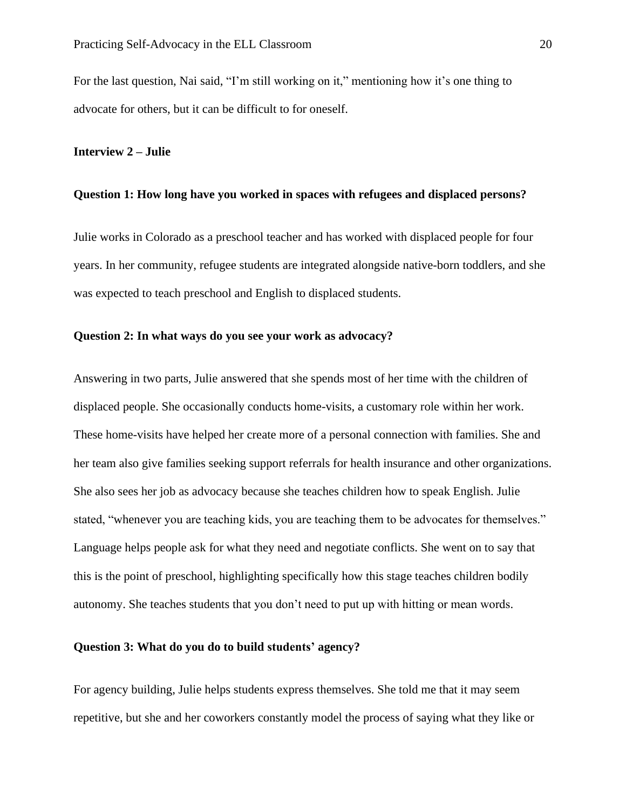For the last question, Nai said, "I'm still working on it," mentioning how it's one thing to advocate for others, but it can be difficult to for oneself.

# **Interview 2 – Julie**

#### **Question 1: How long have you worked in spaces with refugees and displaced persons?**

Julie works in Colorado as a preschool teacher and has worked with displaced people for four years. In her community, refugee students are integrated alongside native-born toddlers, and she was expected to teach preschool and English to displaced students.

## **Question 2: In what ways do you see your work as advocacy?**

Answering in two parts, Julie answered that she spends most of her time with the children of displaced people. She occasionally conducts home-visits, a customary role within her work. These home-visits have helped her create more of a personal connection with families. She and her team also give families seeking support referrals for health insurance and other organizations. She also sees her job as advocacy because she teaches children how to speak English. Julie stated, "whenever you are teaching kids, you are teaching them to be advocates for themselves." Language helps people ask for what they need and negotiate conflicts. She went on to say that this is the point of preschool, highlighting specifically how this stage teaches children bodily autonomy. She teaches students that you don't need to put up with hitting or mean words.

# **Question 3: What do you do to build students' agency?**

For agency building, Julie helps students express themselves. She told me that it may seem repetitive, but she and her coworkers constantly model the process of saying what they like or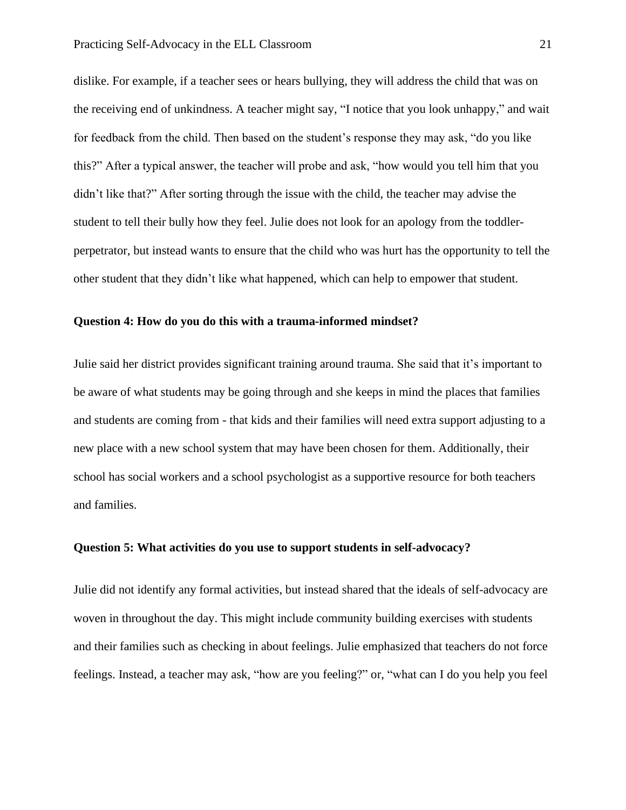dislike. For example, if a teacher sees or hears bullying, they will address the child that was on the receiving end of unkindness. A teacher might say, "I notice that you look unhappy," and wait for feedback from the child. Then based on the student's response they may ask, "do you like this?" After a typical answer, the teacher will probe and ask, "how would you tell him that you didn't like that?" After sorting through the issue with the child, the teacher may advise the student to tell their bully how they feel. Julie does not look for an apology from the toddlerperpetrator, but instead wants to ensure that the child who was hurt has the opportunity to tell the other student that they didn't like what happened, which can help to empower that student.

#### **Question 4: How do you do this with a trauma-informed mindset?**

Julie said her district provides significant training around trauma. She said that it's important to be aware of what students may be going through and she keeps in mind the places that families and students are coming from - that kids and their families will need extra support adjusting to a new place with a new school system that may have been chosen for them. Additionally, their school has social workers and a school psychologist as a supportive resource for both teachers and families.

# **Question 5: What activities do you use to support students in self-advocacy?**

Julie did not identify any formal activities, but instead shared that the ideals of self-advocacy are woven in throughout the day. This might include community building exercises with students and their families such as checking in about feelings. Julie emphasized that teachers do not force feelings. Instead, a teacher may ask, "how are you feeling?" or, "what can I do you help you feel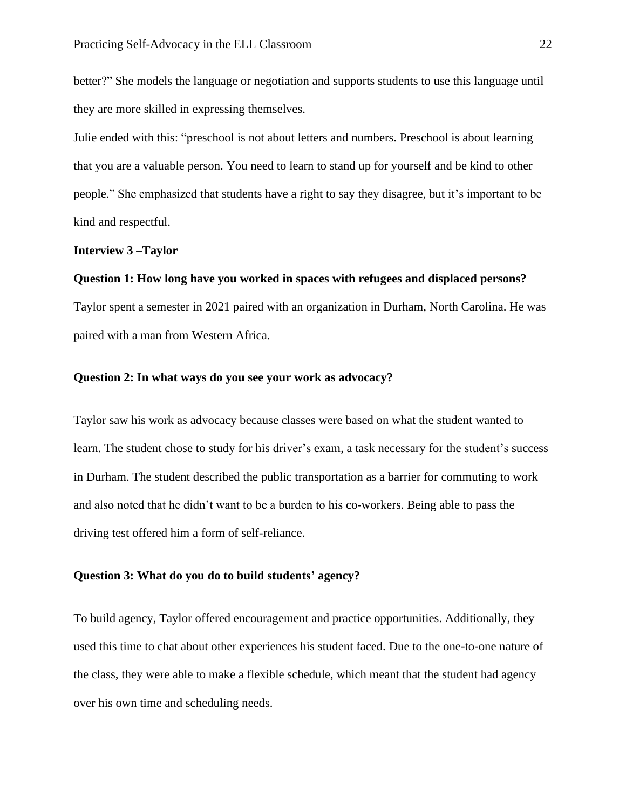better?" She models the language or negotiation and supports students to use this language until they are more skilled in expressing themselves.

Julie ended with this: "preschool is not about letters and numbers. Preschool is about learning that you are a valuable person. You need to learn to stand up for yourself and be kind to other people." She emphasized that students have a right to say they disagree, but it's important to be kind and respectful.

#### **Interview 3 –Taylor**

#### **Question 1: How long have you worked in spaces with refugees and displaced persons?**

Taylor spent a semester in 2021 paired with an organization in Durham, North Carolina. He was paired with a man from Western Africa.

### **Question 2: In what ways do you see your work as advocacy?**

Taylor saw his work as advocacy because classes were based on what the student wanted to learn. The student chose to study for his driver's exam, a task necessary for the student's success in Durham. The student described the public transportation as a barrier for commuting to work and also noted that he didn't want to be a burden to his co-workers. Being able to pass the driving test offered him a form of self-reliance.

# **Question 3: What do you do to build students' agency?**

To build agency, Taylor offered encouragement and practice opportunities. Additionally, they used this time to chat about other experiences his student faced. Due to the one-to-one nature of the class, they were able to make a flexible schedule, which meant that the student had agency over his own time and scheduling needs.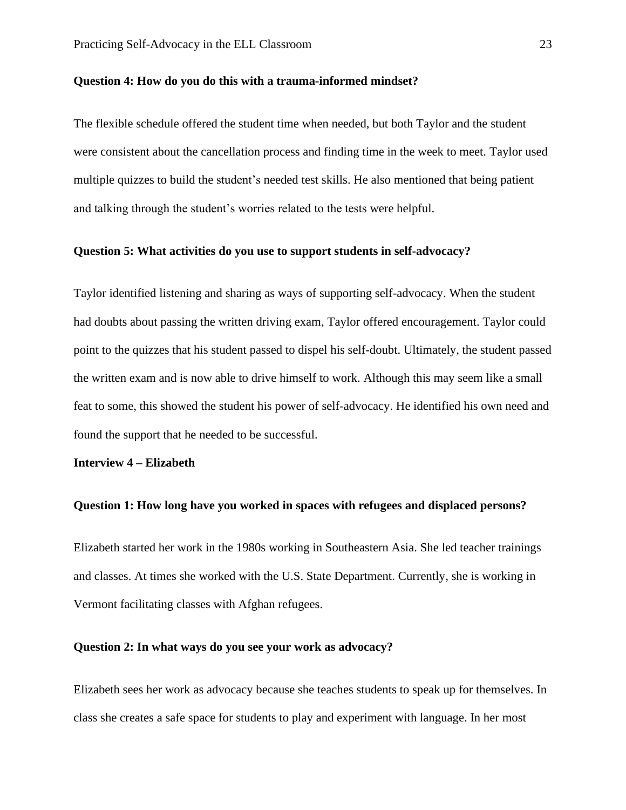#### **Question 4: How do you do this with a trauma-informed mindset?**

The flexible schedule offered the student time when needed, but both Taylor and the student were consistent about the cancellation process and finding time in the week to meet. Taylor used multiple quizzes to build the student's needed test skills. He also mentioned that being patient and talking through the student's worries related to the tests were helpful.

#### **Question 5: What activities do you use to support students in self-advocacy?**

Taylor identified listening and sharing as ways of supporting self-advocacy. When the student had doubts about passing the written driving exam, Taylor offered encouragement. Taylor could point to the quizzes that his student passed to dispel his self-doubt. Ultimately, the student passed the written exam and is now able to drive himself to work. Although this may seem like a small feat to some, this showed the student his power of self-advocacy. He identified his own need and found the support that he needed to be successful.

#### **Interview 4 – Elizabeth**

#### **Question 1: How long have you worked in spaces with refugees and displaced persons?**

Elizabeth started her work in the 1980s working in Southeastern Asia. She led teacher trainings and classes. At times she worked with the U.S. State Department. Currently, she is working in Vermont facilitating classes with Afghan refugees.

## **Question 2: In what ways do you see your work as advocacy?**

Elizabeth sees her work as advocacy because she teaches students to speak up for themselves. In class she creates a safe space for students to play and experiment with language. In her most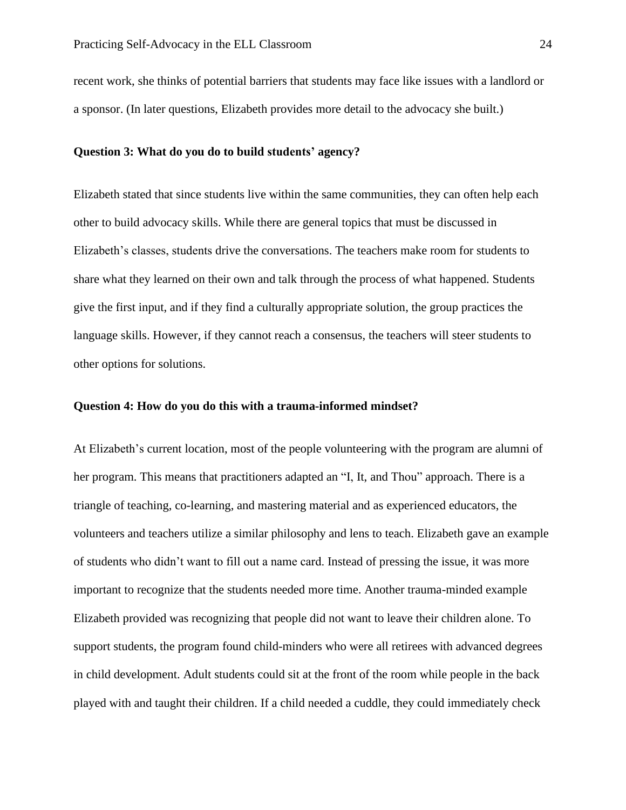recent work, she thinks of potential barriers that students may face like issues with a landlord or a sponsor. (In later questions, Elizabeth provides more detail to the advocacy she built.)

# **Question 3: What do you do to build students' agency?**

Elizabeth stated that since students live within the same communities, they can often help each other to build advocacy skills. While there are general topics that must be discussed in Elizabeth's classes, students drive the conversations. The teachers make room for students to share what they learned on their own and talk through the process of what happened. Students give the first input, and if they find a culturally appropriate solution, the group practices the language skills. However, if they cannot reach a consensus, the teachers will steer students to other options for solutions.

## **Question 4: How do you do this with a trauma-informed mindset?**

At Elizabeth's current location, most of the people volunteering with the program are alumni of her program. This means that practitioners adapted an "I, It, and Thou" approach. There is a triangle of teaching, co-learning, and mastering material and as experienced educators, the volunteers and teachers utilize a similar philosophy and lens to teach. Elizabeth gave an example of students who didn't want to fill out a name card. Instead of pressing the issue, it was more important to recognize that the students needed more time. Another trauma-minded example Elizabeth provided was recognizing that people did not want to leave their children alone. To support students, the program found child-minders who were all retirees with advanced degrees in child development. Adult students could sit at the front of the room while people in the back played with and taught their children. If a child needed a cuddle, they could immediately check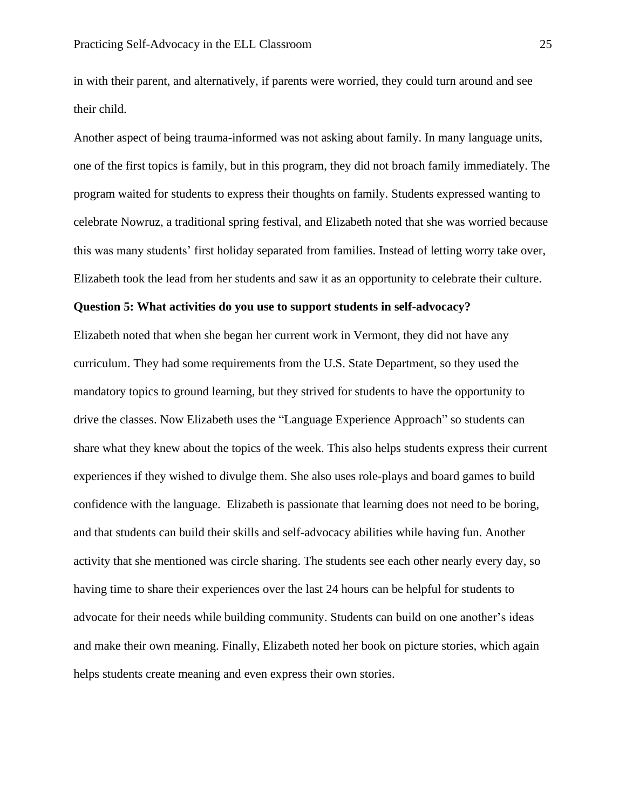in with their parent, and alternatively, if parents were worried, they could turn around and see their child.

Another aspect of being trauma-informed was not asking about family. In many language units, one of the first topics is family, but in this program, they did not broach family immediately. The program waited for students to express their thoughts on family. Students expressed wanting to celebrate Nowruz, a traditional spring festival, and Elizabeth noted that she was worried because this was many students' first holiday separated from families. Instead of letting worry take over, Elizabeth took the lead from her students and saw it as an opportunity to celebrate their culture.

#### **Question 5: What activities do you use to support students in self-advocacy?**

Elizabeth noted that when she began her current work in Vermont, they did not have any curriculum. They had some requirements from the U.S. State Department, so they used the mandatory topics to ground learning, but they strived for students to have the opportunity to drive the classes. Now Elizabeth uses the "Language Experience Approach" so students can share what they knew about the topics of the week. This also helps students express their current experiences if they wished to divulge them. She also uses role-plays and board games to build confidence with the language. Elizabeth is passionate that learning does not need to be boring, and that students can build their skills and self-advocacy abilities while having fun. Another activity that she mentioned was circle sharing. The students see each other nearly every day, so having time to share their experiences over the last 24 hours can be helpful for students to advocate for their needs while building community. Students can build on one another's ideas and make their own meaning. Finally, Elizabeth noted her book on picture stories, which again helps students create meaning and even express their own stories.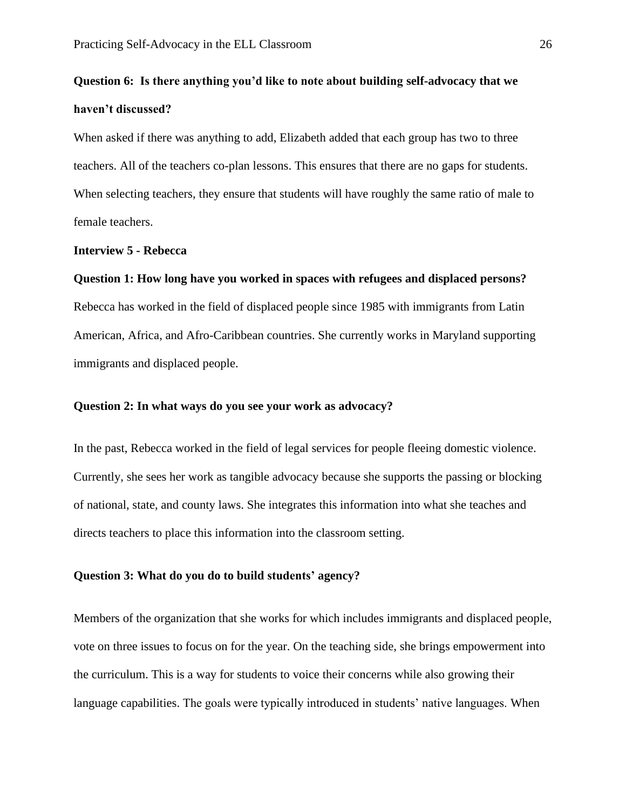# **Question 6: Is there anything you'd like to note about building self-advocacy that we haven't discussed?**

When asked if there was anything to add, Elizabeth added that each group has two to three teachers. All of the teachers co-plan lessons. This ensures that there are no gaps for students. When selecting teachers, they ensure that students will have roughly the same ratio of male to female teachers.

#### **Interview 5 - Rebecca**

#### **Question 1: How long have you worked in spaces with refugees and displaced persons?**

Rebecca has worked in the field of displaced people since 1985 with immigrants from Latin American, Africa, and Afro-Caribbean countries. She currently works in Maryland supporting immigrants and displaced people.

# **Question 2: In what ways do you see your work as advocacy?**

In the past, Rebecca worked in the field of legal services for people fleeing domestic violence. Currently, she sees her work as tangible advocacy because she supports the passing or blocking of national, state, and county laws. She integrates this information into what she teaches and directs teachers to place this information into the classroom setting.

#### **Question 3: What do you do to build students' agency?**

Members of the organization that she works for which includes immigrants and displaced people, vote on three issues to focus on for the year. On the teaching side, she brings empowerment into the curriculum. This is a way for students to voice their concerns while also growing their language capabilities. The goals were typically introduced in students' native languages. When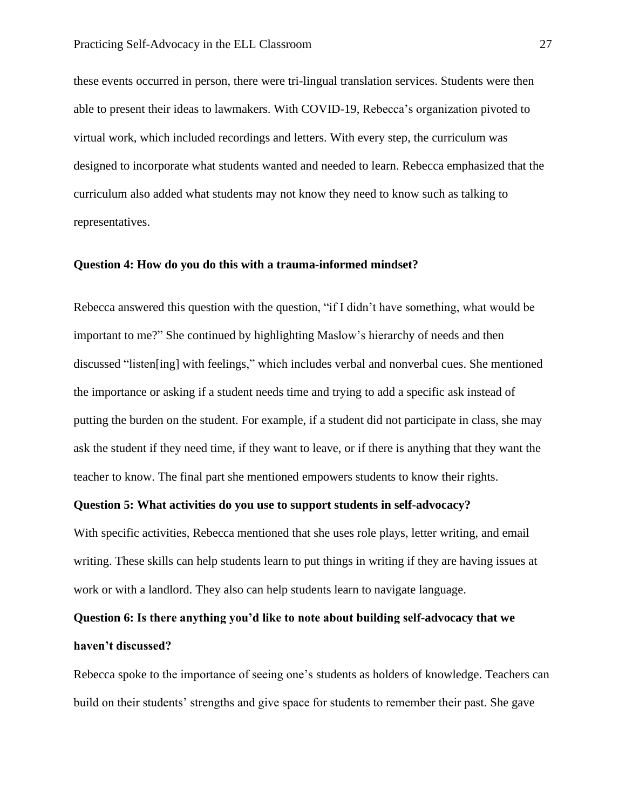these events occurred in person, there were tri-lingual translation services. Students were then able to present their ideas to lawmakers. With COVID-19, Rebecca's organization pivoted to virtual work, which included recordings and letters. With every step, the curriculum was designed to incorporate what students wanted and needed to learn. Rebecca emphasized that the curriculum also added what students may not know they need to know such as talking to representatives.

# **Question 4: How do you do this with a trauma-informed mindset?**

Rebecca answered this question with the question, "if I didn't have something, what would be important to me?" She continued by highlighting Maslow's hierarchy of needs and then discussed "listen[ing] with feelings," which includes verbal and nonverbal cues. She mentioned the importance or asking if a student needs time and trying to add a specific ask instead of putting the burden on the student. For example, if a student did not participate in class, she may ask the student if they need time, if they want to leave, or if there is anything that they want the teacher to know. The final part she mentioned empowers students to know their rights.

#### **Question 5: What activities do you use to support students in self-advocacy?**

With specific activities, Rebecca mentioned that she uses role plays, letter writing, and email writing. These skills can help students learn to put things in writing if they are having issues at work or with a landlord. They also can help students learn to navigate language.

# **Question 6: Is there anything you'd like to note about building self-advocacy that we haven't discussed?**

Rebecca spoke to the importance of seeing one's students as holders of knowledge. Teachers can build on their students' strengths and give space for students to remember their past. She gave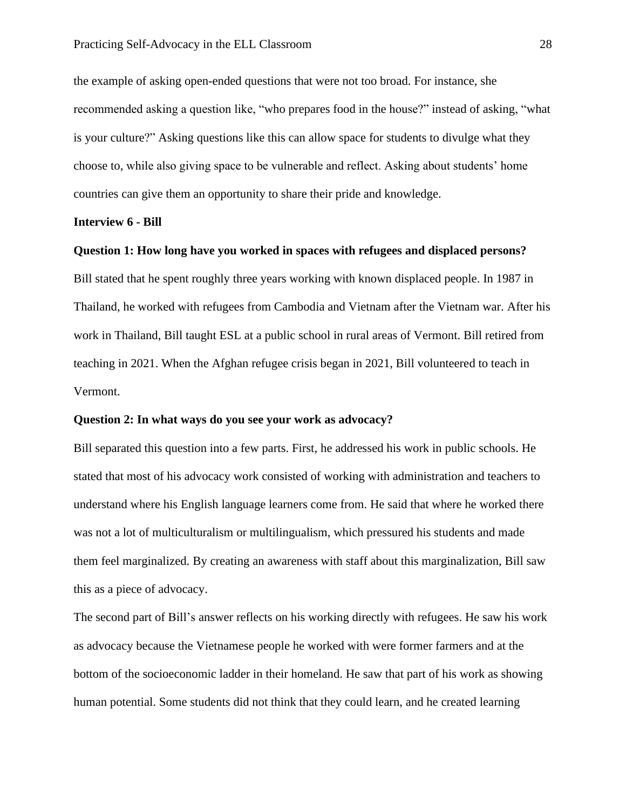the example of asking open-ended questions that were not too broad. For instance, she recommended asking a question like, "who prepares food in the house?" instead of asking, "what is your culture?" Asking questions like this can allow space for students to divulge what they choose to, while also giving space to be vulnerable and reflect. Asking about students' home countries can give them an opportunity to share their pride and knowledge.

#### **Interview 6 - Bill**

#### **Question 1: How long have you worked in spaces with refugees and displaced persons?**

Bill stated that he spent roughly three years working with known displaced people. In 1987 in Thailand, he worked with refugees from Cambodia and Vietnam after the Vietnam war. After his work in Thailand, Bill taught ESL at a public school in rural areas of Vermont. Bill retired from teaching in 2021. When the Afghan refugee crisis began in 2021, Bill volunteered to teach in Vermont.

# **Question 2: In what ways do you see your work as advocacy?**

Bill separated this question into a few parts. First, he addressed his work in public schools. He stated that most of his advocacy work consisted of working with administration and teachers to understand where his English language learners come from. He said that where he worked there was not a lot of multiculturalism or multilingualism, which pressured his students and made them feel marginalized. By creating an awareness with staff about this marginalization, Bill saw this as a piece of advocacy.

The second part of Bill's answer reflects on his working directly with refugees. He saw his work as advocacy because the Vietnamese people he worked with were former farmers and at the bottom of the socioeconomic ladder in their homeland. He saw that part of his work as showing human potential. Some students did not think that they could learn, and he created learning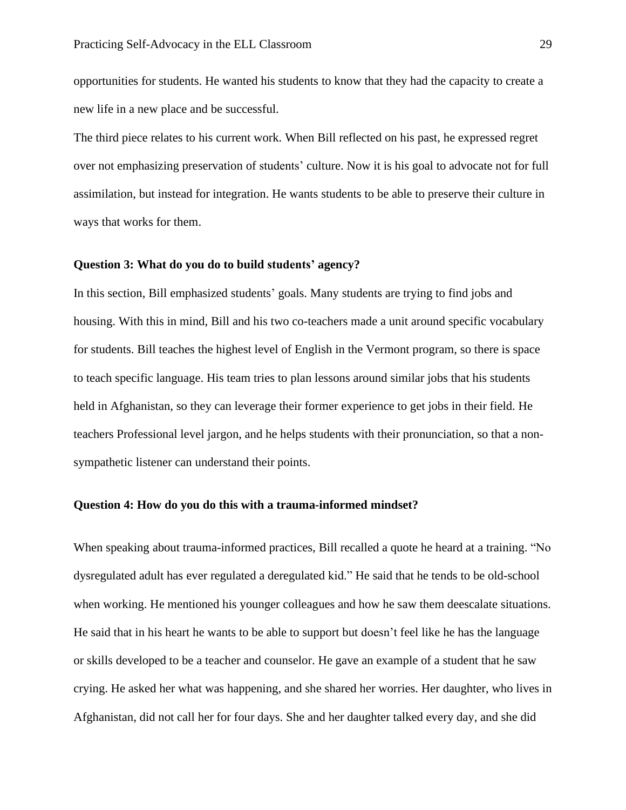opportunities for students. He wanted his students to know that they had the capacity to create a new life in a new place and be successful.

The third piece relates to his current work. When Bill reflected on his past, he expressed regret over not emphasizing preservation of students' culture. Now it is his goal to advocate not for full assimilation, but instead for integration. He wants students to be able to preserve their culture in ways that works for them.

#### **Question 3: What do you do to build students' agency?**

In this section, Bill emphasized students' goals. Many students are trying to find jobs and housing. With this in mind, Bill and his two co-teachers made a unit around specific vocabulary for students. Bill teaches the highest level of English in the Vermont program, so there is space to teach specific language. His team tries to plan lessons around similar jobs that his students held in Afghanistan, so they can leverage their former experience to get jobs in their field. He teachers Professional level jargon, and he helps students with their pronunciation, so that a nonsympathetic listener can understand their points.

### **Question 4: How do you do this with a trauma-informed mindset?**

When speaking about trauma-informed practices, Bill recalled a quote he heard at a training. "No dysregulated adult has ever regulated a deregulated kid." He said that he tends to be old-school when working. He mentioned his younger colleagues and how he saw them deescalate situations. He said that in his heart he wants to be able to support but doesn't feel like he has the language or skills developed to be a teacher and counselor. He gave an example of a student that he saw crying. He asked her what was happening, and she shared her worries. Her daughter, who lives in Afghanistan, did not call her for four days. She and her daughter talked every day, and she did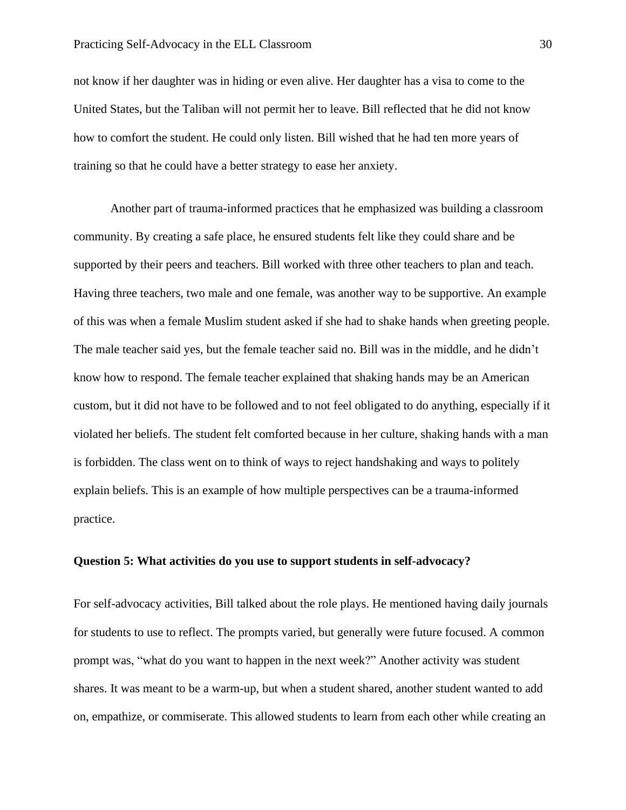not know if her daughter was in hiding or even alive. Her daughter has a visa to come to the United States, but the Taliban will not permit her to leave. Bill reflected that he did not know how to comfort the student. He could only listen. Bill wished that he had ten more years of training so that he could have a better strategy to ease her anxiety.

Another part of trauma-informed practices that he emphasized was building a classroom community. By creating a safe place, he ensured students felt like they could share and be supported by their peers and teachers. Bill worked with three other teachers to plan and teach. Having three teachers, two male and one female, was another way to be supportive. An example of this was when a female Muslim student asked if she had to shake hands when greeting people. The male teacher said yes, but the female teacher said no. Bill was in the middle, and he didn't know how to respond. The female teacher explained that shaking hands may be an American custom, but it did not have to be followed and to not feel obligated to do anything, especially if it violated her beliefs. The student felt comforted because in her culture, shaking hands with a man is forbidden. The class went on to think of ways to reject handshaking and ways to politely explain beliefs. This is an example of how multiple perspectives can be a trauma-informed practice.

#### **Question 5: What activities do you use to support students in self-advocacy?**

For self-advocacy activities, Bill talked about the role plays. He mentioned having daily journals for students to use to reflect. The prompts varied, but generally were future focused. A common prompt was, "what do you want to happen in the next week?" Another activity was student shares. It was meant to be a warm-up, but when a student shared, another student wanted to add on, empathize, or commiserate. This allowed students to learn from each other while creating an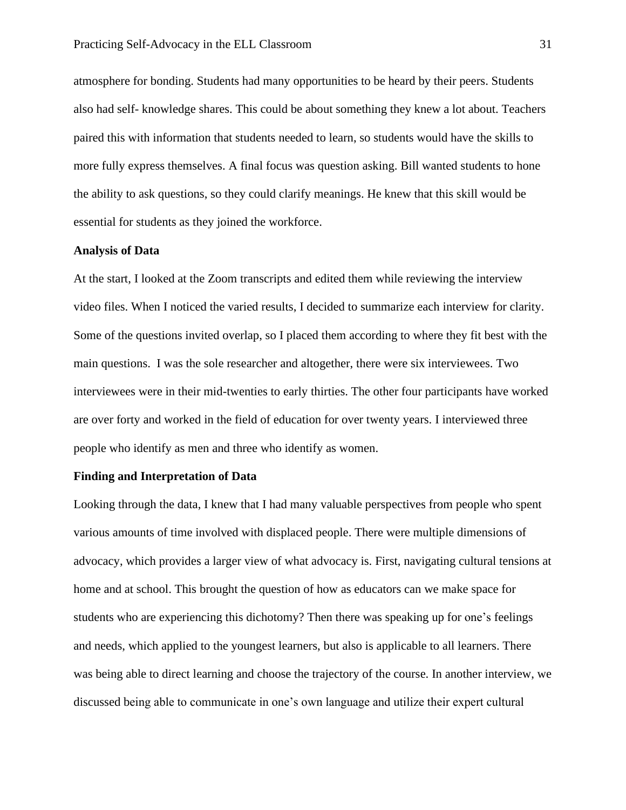atmosphere for bonding. Students had many opportunities to be heard by their peers. Students also had self- knowledge shares. This could be about something they knew a lot about. Teachers paired this with information that students needed to learn, so students would have the skills to more fully express themselves. A final focus was question asking. Bill wanted students to hone the ability to ask questions, so they could clarify meanings. He knew that this skill would be essential for students as they joined the workforce.

#### **Analysis of Data**

At the start, I looked at the Zoom transcripts and edited them while reviewing the interview video files. When I noticed the varied results, I decided to summarize each interview for clarity. Some of the questions invited overlap, so I placed them according to where they fit best with the main questions. I was the sole researcher and altogether, there were six interviewees. Two interviewees were in their mid-twenties to early thirties. The other four participants have worked are over forty and worked in the field of education for over twenty years. I interviewed three people who identify as men and three who identify as women.

#### **Finding and Interpretation of Data**

Looking through the data, I knew that I had many valuable perspectives from people who spent various amounts of time involved with displaced people. There were multiple dimensions of advocacy, which provides a larger view of what advocacy is. First, navigating cultural tensions at home and at school. This brought the question of how as educators can we make space for students who are experiencing this dichotomy? Then there was speaking up for one's feelings and needs, which applied to the youngest learners, but also is applicable to all learners. There was being able to direct learning and choose the trajectory of the course. In another interview, we discussed being able to communicate in one's own language and utilize their expert cultural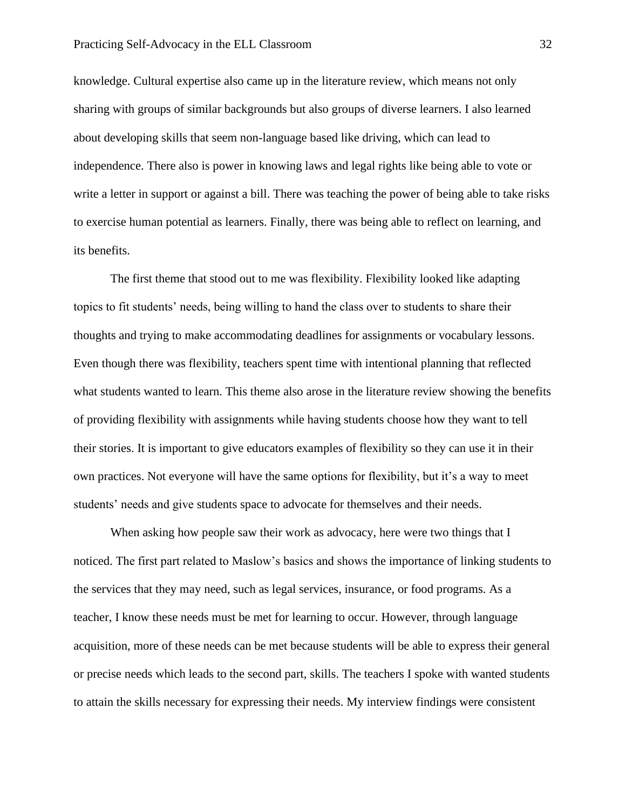#### Practicing Self-Advocacy in the ELL Classroom 32

knowledge. Cultural expertise also came up in the literature review, which means not only sharing with groups of similar backgrounds but also groups of diverse learners. I also learned about developing skills that seem non-language based like driving, which can lead to independence. There also is power in knowing laws and legal rights like being able to vote or write a letter in support or against a bill. There was teaching the power of being able to take risks to exercise human potential as learners. Finally, there was being able to reflect on learning, and its benefits.

The first theme that stood out to me was flexibility. Flexibility looked like adapting topics to fit students' needs, being willing to hand the class over to students to share their thoughts and trying to make accommodating deadlines for assignments or vocabulary lessons. Even though there was flexibility, teachers spent time with intentional planning that reflected what students wanted to learn. This theme also arose in the literature review showing the benefits of providing flexibility with assignments while having students choose how they want to tell their stories. It is important to give educators examples of flexibility so they can use it in their own practices. Not everyone will have the same options for flexibility, but it's a way to meet students' needs and give students space to advocate for themselves and their needs.

When asking how people saw their work as advocacy, here were two things that I noticed. The first part related to Maslow's basics and shows the importance of linking students to the services that they may need, such as legal services, insurance, or food programs. As a teacher, I know these needs must be met for learning to occur. However, through language acquisition, more of these needs can be met because students will be able to express their general or precise needs which leads to the second part, skills. The teachers I spoke with wanted students to attain the skills necessary for expressing their needs. My interview findings were consistent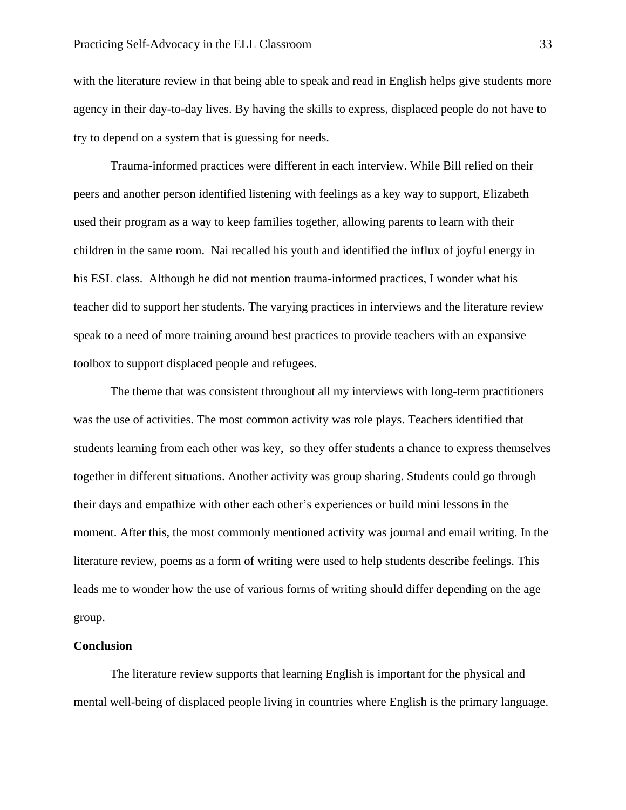with the literature review in that being able to speak and read in English helps give students more agency in their day-to-day lives. By having the skills to express, displaced people do not have to try to depend on a system that is guessing for needs.

Trauma-informed practices were different in each interview. While Bill relied on their peers and another person identified listening with feelings as a key way to support, Elizabeth used their program as a way to keep families together, allowing parents to learn with their children in the same room. Nai recalled his youth and identified the influx of joyful energy in his ESL class. Although he did not mention trauma-informed practices, I wonder what his teacher did to support her students. The varying practices in interviews and the literature review speak to a need of more training around best practices to provide teachers with an expansive toolbox to support displaced people and refugees.

The theme that was consistent throughout all my interviews with long-term practitioners was the use of activities. The most common activity was role plays. Teachers identified that students learning from each other was key, so they offer students a chance to express themselves together in different situations. Another activity was group sharing. Students could go through their days and empathize with other each other's experiences or build mini lessons in the moment. After this, the most commonly mentioned activity was journal and email writing. In the literature review, poems as a form of writing were used to help students describe feelings. This leads me to wonder how the use of various forms of writing should differ depending on the age group.

#### **Conclusion**

The literature review supports that learning English is important for the physical and mental well-being of displaced people living in countries where English is the primary language.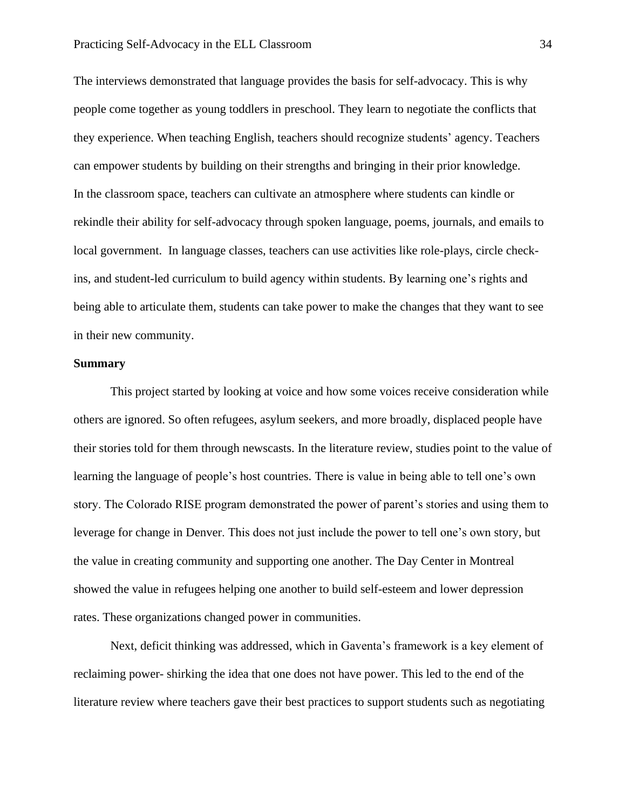The interviews demonstrated that language provides the basis for self-advocacy. This is why people come together as young toddlers in preschool. They learn to negotiate the conflicts that they experience. When teaching English, teachers should recognize students' agency. Teachers can empower students by building on their strengths and bringing in their prior knowledge. In the classroom space, teachers can cultivate an atmosphere where students can kindle or rekindle their ability for self-advocacy through spoken language, poems, journals, and emails to local government. In language classes, teachers can use activities like role-plays, circle checkins, and student-led curriculum to build agency within students. By learning one's rights and being able to articulate them, students can take power to make the changes that they want to see in their new community.

## **Summary**

This project started by looking at voice and how some voices receive consideration while others are ignored. So often refugees, asylum seekers, and more broadly, displaced people have their stories told for them through newscasts. In the literature review, studies point to the value of learning the language of people's host countries. There is value in being able to tell one's own story. The Colorado RISE program demonstrated the power of parent's stories and using them to leverage for change in Denver. This does not just include the power to tell one's own story, but the value in creating community and supporting one another. The Day Center in Montreal showed the value in refugees helping one another to build self-esteem and lower depression rates. These organizations changed power in communities.

Next, deficit thinking was addressed, which in Gaventa's framework is a key element of reclaiming power- shirking the idea that one does not have power. This led to the end of the literature review where teachers gave their best practices to support students such as negotiating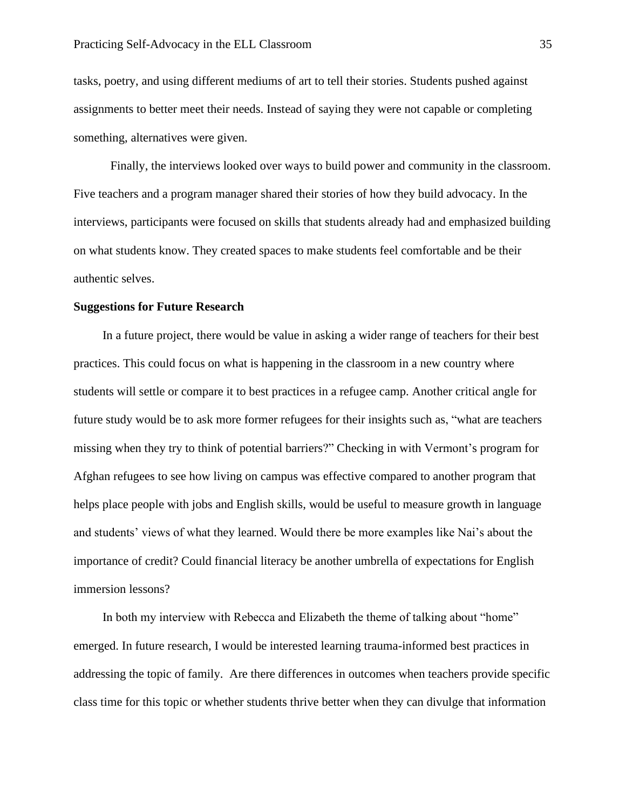tasks, poetry, and using different mediums of art to tell their stories. Students pushed against assignments to better meet their needs. Instead of saying they were not capable or completing something, alternatives were given.

Finally, the interviews looked over ways to build power and community in the classroom. Five teachers and a program manager shared their stories of how they build advocacy. In the interviews, participants were focused on skills that students already had and emphasized building on what students know. They created spaces to make students feel comfortable and be their authentic selves.

#### **Suggestions for Future Research**

In a future project, there would be value in asking a wider range of teachers for their best practices. This could focus on what is happening in the classroom in a new country where students will settle or compare it to best practices in a refugee camp. Another critical angle for future study would be to ask more former refugees for their insights such as, "what are teachers missing when they try to think of potential barriers?" Checking in with Vermont's program for Afghan refugees to see how living on campus was effective compared to another program that helps place people with jobs and English skills, would be useful to measure growth in language and students' views of what they learned. Would there be more examples like Nai's about the importance of credit? Could financial literacy be another umbrella of expectations for English immersion lessons?

In both my interview with Rebecca and Elizabeth the theme of talking about "home" emerged. In future research, I would be interested learning trauma-informed best practices in addressing the topic of family. Are there differences in outcomes when teachers provide specific class time for this topic or whether students thrive better when they can divulge that information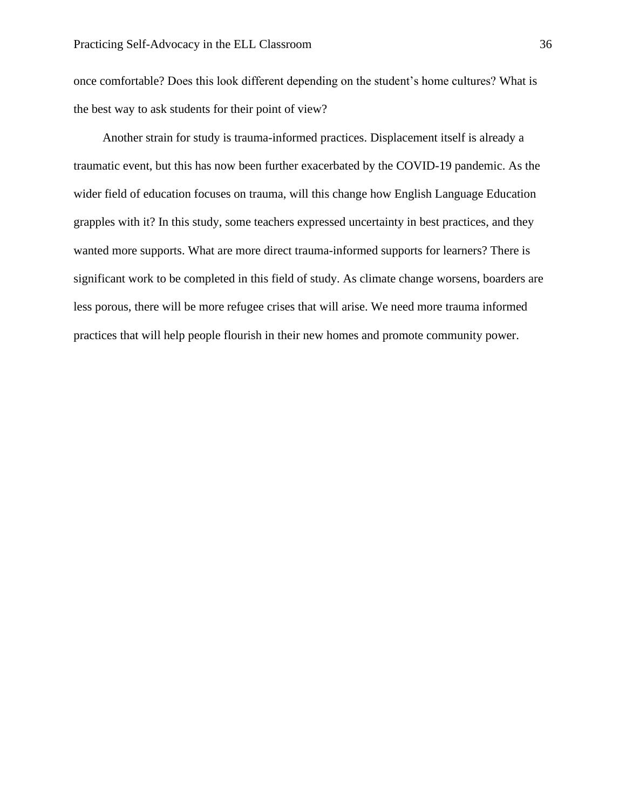once comfortable? Does this look different depending on the student's home cultures? What is the best way to ask students for their point of view?

Another strain for study is trauma-informed practices. Displacement itself is already a traumatic event, but this has now been further exacerbated by the COVID-19 pandemic. As the wider field of education focuses on trauma, will this change how English Language Education grapples with it? In this study, some teachers expressed uncertainty in best practices, and they wanted more supports. What are more direct trauma-informed supports for learners? There is significant work to be completed in this field of study. As climate change worsens, boarders are less porous, there will be more refugee crises that will arise. We need more trauma informed practices that will help people flourish in their new homes and promote community power.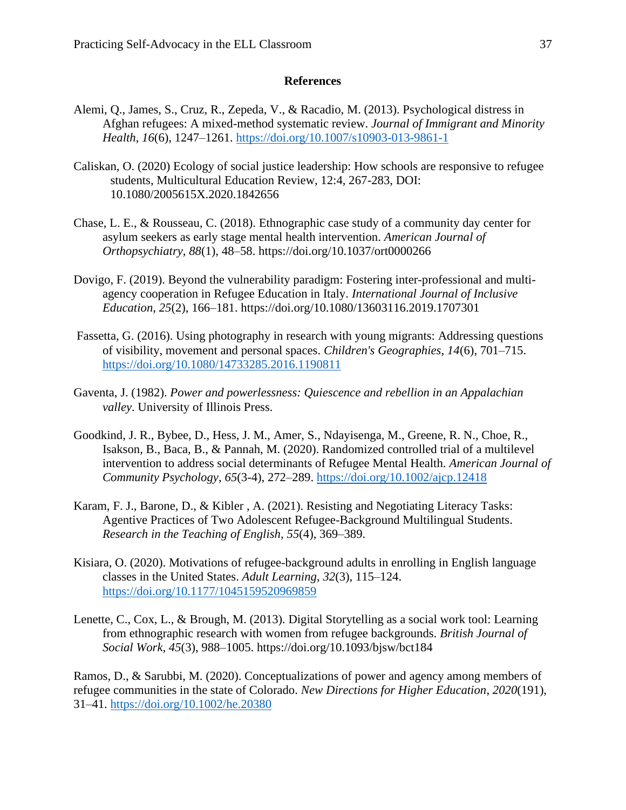# **References**

- Alemi, Q., James, S., Cruz, R., Zepeda, V., & Racadio, M. (2013). Psychological distress in Afghan refugees: A mixed-method systematic review. *Journal of Immigrant and Minority Health*, *16*(6), 1247–1261.<https://doi.org/10.1007/s10903-013-9861-1>
- Caliskan, O. (2020) Ecology of social justice leadership: How schools are responsive to refugee students, Multicultural Education Review, 12:4, 267-283, DOI: 10.1080/2005615X.2020.1842656
- Chase, L. E., & Rousseau, C. (2018). Ethnographic case study of a community day center for asylum seekers as early stage mental health intervention. *American Journal of Orthopsychiatry*, *88*(1), 48–58. https://doi.org/10.1037/ort0000266
- Dovigo, F. (2019). Beyond the vulnerability paradigm: Fostering inter-professional and multiagency cooperation in Refugee Education in Italy. *International Journal of Inclusive Education*, *25*(2), 166–181. https://doi.org/10.1080/13603116.2019.1707301
- Fassetta, G. (2016). Using photography in research with young migrants: Addressing questions of visibility, movement and personal spaces. *Children's Geographies*, *14*(6), 701–715. <https://doi.org/10.1080/14733285.2016.1190811>
- Gaventa, J. (1982). *Power and powerlessness: Quiescence and rebellion in an Appalachian valley*. University of Illinois Press.
- Goodkind, J. R., Bybee, D., Hess, J. M., Amer, S., Ndayisenga, M., Greene, R. N., Choe, R., Isakson, B., Baca, B., & Pannah, M. (2020). Randomized controlled trial of a multilevel intervention to address social determinants of Refugee Mental Health. *American Journal of Community Psychology*, *65*(3-4), 272–289.<https://doi.org/10.1002/ajcp.12418>
- Karam, F. J., Barone, D., & Kibler , A. (2021). Resisting and Negotiating Literacy Tasks: Agentive Practices of Two Adolescent Refugee-Background Multilingual Students. *Research in the Teaching of English, 55*(4), 369–389.
- Kisiara, O. (2020). Motivations of refugee-background adults in enrolling in English language classes in the United States. *Adult Learning*, *32*(3), 115–124. <https://doi.org/10.1177/1045159520969859>
- Lenette, C., Cox, L., & Brough, M. (2013). Digital Storytelling as a social work tool: Learning from ethnographic research with women from refugee backgrounds. *British Journal of Social Work*, *45*(3), 988–1005. https://doi.org/10.1093/bjsw/bct184

Ramos, D., & Sarubbi, M. (2020). Conceptualizations of power and agency among members of refugee communities in the state of Colorado. *New Directions for Higher Education*, *2020*(191), 31–41.<https://doi.org/10.1002/he.20380>